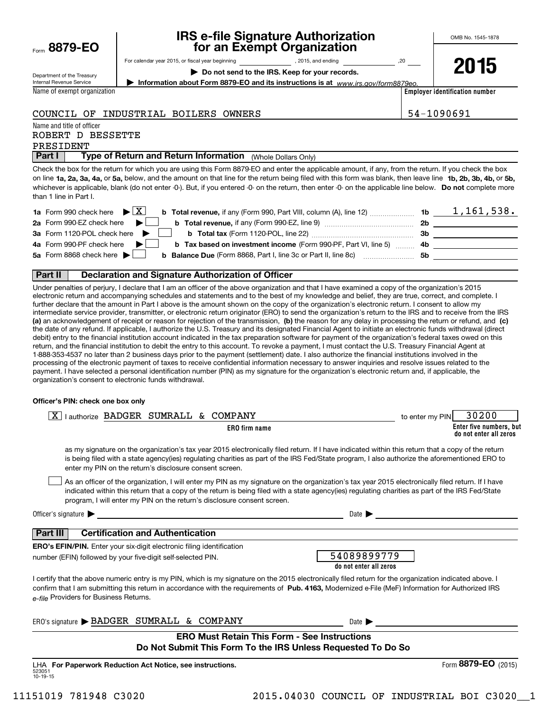| Form 8879-EO |  |
|--------------|--|
|              |  |

## **IRS e-file Signature Authorization for an Exempt Organization**

OMB No. 1545-1878

**2015**

Department of the Treasury Internal Revenue Service

| For calendar year 2015, or fiscal year beginning | , 2015, and ending | .20 |
|--------------------------------------------------|--------------------|-----|
|                                                  |                    |     |

**| Do not send to the IRS. Keep for your records.**

**| Information about Form 8879-EO and its instructions is at**  *www.irs.gov/form8879eo.*

**Employer identification number**

Name of exempt organization

COUNCIL OF INDUSTRIAL BOILERS OWNERS  $\vert$  54-1090691

Name and title of officer

ROBERT D BESSETTE

PRESIDENT

 (Whole Dollars Only) **Part I Type of Return and Return Information** 

on line **1a, 2a, 3a, 4a,** or **5a,** below, and the amount on that line for the return being filed with this form was blank, then leave line **1b, 2b, 3b, 4b,** or **5b,** whichever is applicable, blank (do not enter -0-). But, if you entered -0- on the return, then enter -0- on the applicable line below. **Do not** complete more Check the box for the return for which you are using this Form 8879-EO and enter the applicable amount, if any, from the return. If you check the box than 1 line in Part I.

| <b>1a</b> Form 990 check here $\blacktriangleright$ $\boxed{\text{X}}$<br><b>b</b> Total revenue, if any (Form 990, Part VIII, column (A), line 12) <i></i> | -1b | 1,161,538. |
|-------------------------------------------------------------------------------------------------------------------------------------------------------------|-----|------------|
| 2a Form 990-EZ check here $\blacktriangleright$                                                                                                             | 2b  |            |
| 3a Form 1120-POL check here<br><b>b</b> Total tax (Form 1120-POL, line 22) <b>Manual</b>                                                                    | 3b. |            |
| 4a Form 990-PF check here<br><b>b Tax based on investment income</b> (Form 990-PF, Part VI, line 5)                                                         | -4b |            |
| 5a Form 8868 check here $\blacktriangleright$    <br><b>b</b> Balance Due (Form 8868, Part I, line 3c or Part II, line 8c)                                  | .5b |            |
|                                                                                                                                                             |     |            |

#### **Part II Declaration and Signature Authorization of Officer**

**(a)** an acknowledgement of receipt or reason for rejection of the transmission, (b) the reason for any delay in processing the return or refund, and (c) Under penalties of perjury, I declare that I am an officer of the above organization and that I have examined a copy of the organization's 2015 electronic return and accompanying schedules and statements and to the best of my knowledge and belief, they are true, correct, and complete. I further declare that the amount in Part I above is the amount shown on the copy of the organization's electronic return. I consent to allow my intermediate service provider, transmitter, or electronic return originator (ERO) to send the organization's return to the IRS and to receive from the IRS the date of any refund. If applicable, I authorize the U.S. Treasury and its designated Financial Agent to initiate an electronic funds withdrawal (direct debit) entry to the financial institution account indicated in the tax preparation software for payment of the organization's federal taxes owed on this return, and the financial institution to debit the entry to this account. To revoke a payment, I must contact the U.S. Treasury Financial Agent at 1-888-353-4537 no later than 2 business days prior to the payment (settlement) date. I also authorize the financial institutions involved in the processing of the electronic payment of taxes to receive confidential information necessary to answer inquiries and resolve issues related to the payment. I have selected a personal identification number (PIN) as my signature for the organization's electronic return and, if applicable, the organization's consent to electronic funds withdrawal.

#### **Officer's PIN: check one box only**

| I authorize BADGER SUMRALL<br>& COMPANY<br>x.                                                                                                                                                                                                                                                                                                                                    | to enter my PIN | 30200                                             |
|----------------------------------------------------------------------------------------------------------------------------------------------------------------------------------------------------------------------------------------------------------------------------------------------------------------------------------------------------------------------------------|-----------------|---------------------------------------------------|
| <b>ERO</b> firm name                                                                                                                                                                                                                                                                                                                                                             |                 | Enter five numbers, but<br>do not enter all zeros |
| as my signature on the organization's tax year 2015 electronically filed return. If I have indicated within this return that a copy of the return<br>is being filed with a state agency(ies) regulating charities as part of the IRS Fed/State program, I also authorize the aforementioned ERO to<br>enter my PIN on the return's disclosure consent screen.                    |                 |                                                   |
| As an officer of the organization, I will enter my PIN as my signature on the organization's tax year 2015 electronically filed return. If I have<br>indicated within this return that a copy of the return is being filed with a state agency(ies) regulating charities as part of the IRS Fed/State<br>program, I will enter my PIN on the return's disclosure consent screen. |                 |                                                   |
| Officer's signature $\blacktriangleright$<br>Date $\blacktriangleright$<br><u> 1989 - Johann Stein, marwolaethau a bh</u>                                                                                                                                                                                                                                                        |                 |                                                   |
| <b>Certification and Authentication</b><br><b>Part III</b>                                                                                                                                                                                                                                                                                                                       |                 |                                                   |
| <b>ERO's EFIN/PIN.</b> Enter your six-digit electronic filing identification<br>54089899779<br>number (EFIN) followed by your five-digit self-selected PIN.<br>do not enter all zeros                                                                                                                                                                                            |                 |                                                   |
| I certify that the above numeric entry is my PIN, which is my signature on the 2015 electronically filed return for the organization indicated above. I<br>confirm that I am submitting this return in accordance with the requirements of Pub. 4163, Modernized e-File (MeF) Information for Authorized IRS<br>e-file Providers for Business Returns.                           |                 |                                                   |
| ERO's signature BADGER SUMRALL & COMPANY<br>Date $\blacktriangleright$                                                                                                                                                                                                                                                                                                           |                 |                                                   |
| <b>ERO Must Retain This Form - See Instructions</b><br>Do Not Submit This Form To the IRS Unless Requested To Do So                                                                                                                                                                                                                                                              |                 |                                                   |
| LHA For Paperwork Reduction Act Notice, see instructions.                                                                                                                                                                                                                                                                                                                        |                 | Form 8879-EO<br>(2015)                            |

523051 10-19-15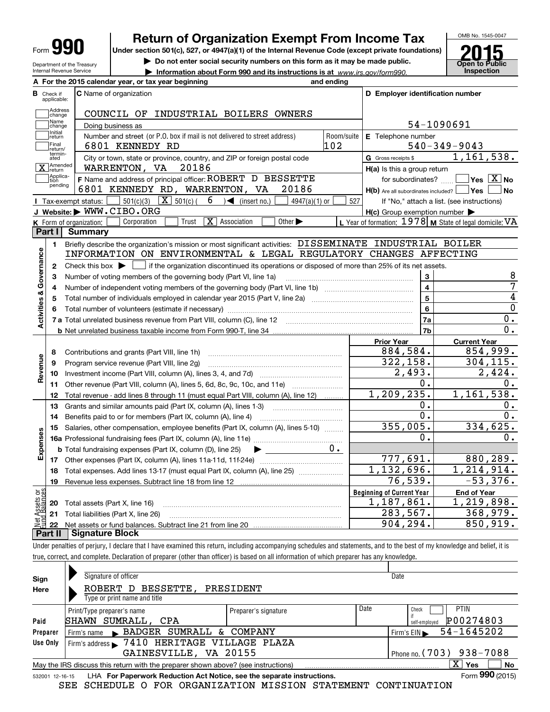| Form | Ш |
|------|---|
|------|---|

Department of the Treasury

# **Return of Organization Exempt From Income Tax**

**Under section 501(c), 527, or 4947(a)(1) of the Internal Revenue Code (except private foundations)**

**| Do not enter social security numbers on this form as it may be made public.**

**| Information about Form 990 and its instructions is at www.irs.gov/form990.** | Inspection



1,161,538.

**C D Employer identification number**

54-1090691

6801 KENNEDY RD 102 540-349-9043

| <b>Internal Revenue Service</b><br>A For the 2015 calendar year, or tax year beginning |                                                                                                                                                                                                                                                                                                                                    |                   |                                                                                               |            |   |              | Information about Form 990 and its instructions is at www.irs.gov/form990. | and ending        |                                        |
|----------------------------------------------------------------------------------------|------------------------------------------------------------------------------------------------------------------------------------------------------------------------------------------------------------------------------------------------------------------------------------------------------------------------------------|-------------------|-----------------------------------------------------------------------------------------------|------------|---|--------------|----------------------------------------------------------------------------|-------------------|----------------------------------------|
| в<br>Check if<br>applicable:                                                           | <b>C</b> Name of organization                                                                                                                                                                                                                                                                                                      |                   |                                                                                               |            |   |              |                                                                            |                   | D Employer identific                   |
| Address<br>change                                                                      |                                                                                                                                                                                                                                                                                                                                    |                   |                                                                                               |            |   |              | COUNCIL OF INDUSTRIAL BOILERS OWNERS                                       |                   |                                        |
| Name<br><b>ichange</b>                                                                 |                                                                                                                                                                                                                                                                                                                                    | Doing business as |                                                                                               |            |   |              |                                                                            |                   | $54 - 11$                              |
| Initial<br>return<br>Final<br>return/                                                  |                                                                                                                                                                                                                                                                                                                                    |                   | Number and street (or P.O. box if mail is not delivered to street address)<br>6801 KENNEDY RD |            |   |              |                                                                            | Room/suite<br>102 | <b>E</b> Telephone number<br>$540 - 3$ |
| termin-<br>ated                                                                        |                                                                                                                                                                                                                                                                                                                                    |                   |                                                                                               |            |   |              | City or town, state or province, country, and ZIP or foreign postal code   |                   | G Gross receipts \$                    |
| $\overline{\mathbf{X}}$ Amended                                                        |                                                                                                                                                                                                                                                                                                                                    | WARRENTON, VA     |                                                                                               | 20186      |   |              |                                                                            |                   | H(a) Is this a group re                |
| Applica-<br> tion                                                                      |                                                                                                                                                                                                                                                                                                                                    |                   |                                                                                               |            |   |              | F Name and address of principal officer: ROBERT D BESSETTE                 |                   | for subordinates                       |
| pending                                                                                | 6801                                                                                                                                                                                                                                                                                                                               |                   | KENNEDY RD, WARRENTON, VA                                                                     |            |   |              | 20186                                                                      |                   | H(b) Are all subordinates in           |
|                                                                                        | Tax-exempt status:                                                                                                                                                                                                                                                                                                                 | 501(c)(3)         | X                                                                                             | $501(c)$ ( | 6 | (insert no.) | $4947(a)(1)$ or                                                            | 527               | If "No." attach a                      |
|                                                                                        | $\mathbf{r}$ $\mathbf{r}$ $\mathbf{r}$ $\mathbf{r}$ $\mathbf{r}$ $\mathbf{r}$ $\mathbf{r}$ $\mathbf{r}$ $\mathbf{r}$ $\mathbf{r}$ $\mathbf{r}$ $\mathbf{r}$ $\mathbf{r}$ $\mathbf{r}$ $\mathbf{r}$ $\mathbf{r}$ $\mathbf{r}$ $\mathbf{r}$ $\mathbf{r}$ $\mathbf{r}$ $\mathbf{r}$ $\mathbf{r}$ $\mathbf{r}$ $\mathbf{r}$ $\mathbf{$ |                   |                                                                                               |            |   |              |                                                                            |                   |                                        |

|                         | $X$ $ $ <sup>return</sup> | WARRENTON, VA<br>70180                                                                                                                  | $H(a)$ is this a group return                       |                                                           |
|-------------------------|---------------------------|-----------------------------------------------------------------------------------------------------------------------------------------|-----------------------------------------------------|-----------------------------------------------------------|
|                         | Applica-<br>tion          | F Name and address of principal officer: ROBERT D BESSETTE                                                                              | for subordinates?                                   | $\overline{\ }$ Yes $\overline{\ \ X}$ No                 |
|                         | pending                   | 6801 KENNEDY RD, WARRENTON, VA<br>20186                                                                                                 | $H(b)$ Are all subordinates included? $\vert$ Yes   | ∣No                                                       |
|                         |                           | $\boxed{\mathbf{X}}$ 501(c) (<br>$6 \rightarrow$ (insert no.)<br>501(c)(3)<br>$4947(a)(1)$ or<br>Tax-exempt status:                     | 527                                                 | If "No," attach a list. (see instructions)                |
|                         |                           | J Website: WWW.CIBO.ORG                                                                                                                 | $H(c)$ Group exemption number $\blacktriangleright$ |                                                           |
|                         |                           | Corporation<br>$\overline{\mathbf{X}}$ Association<br>Trust<br>Other $\blacktriangleright$<br>K Form of organization:                   |                                                     | L Year of formation: $1978$ M State of legal domicile: VA |
|                         | Part I                    | <b>Summary</b>                                                                                                                          |                                                     |                                                           |
|                         | 1.                        | Briefly describe the organization's mission or most significant activities: DISSEMINATE INDUSTRIAL BOILER                               |                                                     |                                                           |
| Governance              |                           | INFORMATION ON ENVIRONMENTAL & LEGAL REGULATORY CHANGES AFFECTING                                                                       |                                                     |                                                           |
|                         | $\mathbf{2}$              | if the organization discontinued its operations or disposed of more than 25% of its net assets.<br>Check this box $\blacktriangleright$ |                                                     |                                                           |
|                         | з                         | Number of voting members of the governing body (Part VI, line 1a)                                                                       | 3                                                   | 8                                                         |
|                         | 4                         |                                                                                                                                         |                                                     | 7                                                         |
|                         | 5                         |                                                                                                                                         |                                                     | 4                                                         |
|                         |                           |                                                                                                                                         | 6                                                   | $\overline{0}$                                            |
| <b>Activities &amp;</b> |                           |                                                                                                                                         | <b>7a</b>                                           | 0.                                                        |
|                         |                           |                                                                                                                                         | 7 <sub>b</sub>                                      | 0.                                                        |
|                         |                           |                                                                                                                                         | <b>Prior Year</b>                                   | <b>Current Year</b>                                       |
|                         | 8                         | Contributions and grants (Part VIII, line 1h)                                                                                           | 884,584.                                            | 854,999.                                                  |
| Revenue                 | 9                         | Program service revenue (Part VIII, line 2g)                                                                                            | 322, 158.                                           | 304, 115.                                                 |
|                         | 10                        |                                                                                                                                         | 2,493.                                              | 2,424.                                                    |
|                         | 11                        | Other revenue (Part VIII, column (A), lines 5, 6d, 8c, 9c, 10c, and 11e)                                                                | 0.                                                  | 0.                                                        |
|                         | 12                        | Total revenue - add lines 8 through 11 (must equal Part VIII, column (A), line 12)                                                      | 1, 209, 235.                                        | 1, 161, 538.                                              |
|                         | 13                        | Grants and similar amounts paid (Part IX, column (A), lines 1-3)                                                                        | 0.                                                  | 0.                                                        |
|                         | 14                        | Benefits paid to or for members (Part IX, column (A), line 4)                                                                           | $0$ .                                               | 0.                                                        |
|                         | 15                        | Salaries, other compensation, employee benefits (Part IX, column (A), lines 5-10)                                                       | 355,005.                                            | 334,625.                                                  |
| Expenses                |                           |                                                                                                                                         | 0.                                                  | 0.                                                        |
|                         |                           | <b>b</b> Total fundraising expenses (Part IX, column (D), line 25)                                                                      |                                                     |                                                           |
|                         | 17                        |                                                                                                                                         | 777,691.                                            | 880,289.                                                  |
|                         | 18                        |                                                                                                                                         | $\overline{1,132},696.$                             | 1,214,914.                                                |
|                         | 19                        |                                                                                                                                         | 76,539.                                             | $-53,376.$                                                |
| or<br>CBS               |                           |                                                                                                                                         | <b>Beginning of Current Year</b>                    | <b>End of Year</b>                                        |
| sets<br>alanc           | 20                        | Total assets (Part X, line 16)                                                                                                          | 1,187,861.                                          | 1,219,898.                                                |
|                         | 21                        | Total liabilities (Part X, line 26)                                                                                                     | 283,567.                                            | 368,979.                                                  |
|                         | 22                        |                                                                                                                                         | 904, 294.                                           | 850,919.                                                  |
|                         |                           | Part II   Signature Block                                                                                                               |                                                     |                                                           |

Under penalties of perjury, I declare that I have examined this return, including accompanying schedules and statements, and to the best of my knowledge and belief, it is true, correct, and complete. Declaration of preparer (other than officer) is based on all information of which preparer has any knowledge.

| Sign                                              | Signature of officer                                                                                           |                      | Date |                            |  |  |  |  |  |  |
|---------------------------------------------------|----------------------------------------------------------------------------------------------------------------|----------------------|------|----------------------------|--|--|--|--|--|--|
| Here                                              | BESSETTE, PRESIDENT<br>ROBERT D                                                                                |                      |      |                            |  |  |  |  |  |  |
|                                                   | Type or print name and title                                                                                   |                      |      |                            |  |  |  |  |  |  |
|                                                   | Print/Type preparer's name                                                                                     | Preparer's signature | Date | <b>PTIN</b><br>Check       |  |  |  |  |  |  |
| Paid                                              | SHAWN SUMRALL, CPA                                                                                             |                      |      | P00274803<br>self-employed |  |  |  |  |  |  |
| Preparer                                          | Firm's name BADGER SUMRALL & COMPANY                                                                           |                      |      | 54-1645202<br>Firm's $EIN$ |  |  |  |  |  |  |
| Use Only                                          | Firm's address > 7410 HERITAGE VILLAGE PLAZA                                                                   |                      |      |                            |  |  |  |  |  |  |
| GAINESVILLE, VA 20155<br>Phone no. (703) 938-7088 |                                                                                                                |                      |      |                            |  |  |  |  |  |  |
|                                                   | $\mathbf{X}$<br>No<br>Yes<br>May the IRS discuss this return with the preparer shown above? (see instructions) |                      |      |                            |  |  |  |  |  |  |
|                                                   | Form 990 (2015)<br>LHA For Paperwork Reduction Act Notice, see the separate instructions.<br>532001 12-16-15   |                      |      |                            |  |  |  |  |  |  |

SEE SCHEDULE O FOR ORGANIZATION MISSION STATEMENT CONTINUATION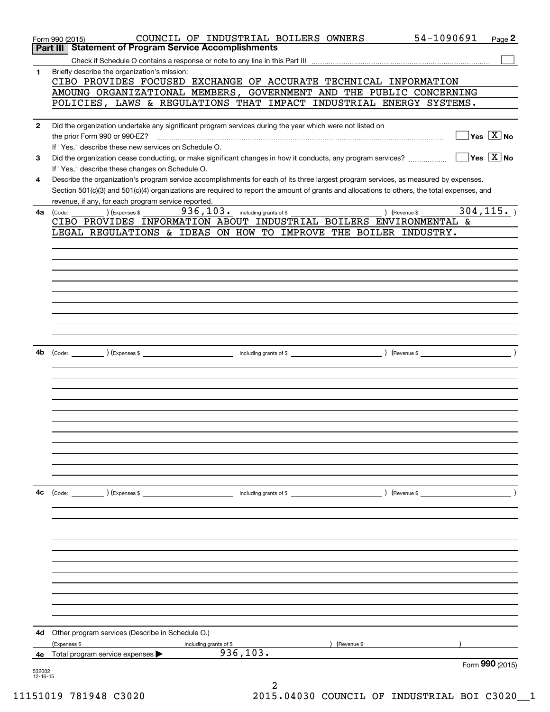|                          | 54-1090691<br>COUNCIL OF INDUSTRIAL BOILERS OWNERS<br>Page 2<br>Form 990 (2015)<br><b>Statement of Program Service Accomplishments</b><br>Part III                                                                                  |
|--------------------------|-------------------------------------------------------------------------------------------------------------------------------------------------------------------------------------------------------------------------------------|
|                          |                                                                                                                                                                                                                                     |
|                          |                                                                                                                                                                                                                                     |
| 1                        | Briefly describe the organization's mission:                                                                                                                                                                                        |
|                          | CIBO PROVIDES FOCUSED EXCHANGE OF ACCURATE TECHNICAL INFORMATION                                                                                                                                                                    |
|                          | AMOUNG ORGANIZATIONAL MEMBERS, GOVERNMENT AND THE PUBLIC CONCERNING                                                                                                                                                                 |
|                          | POLICIES, LAWS & REGULATIONS THAT IMPACT INDUSTRIAL ENERGY SYSTEMS.                                                                                                                                                                 |
|                          |                                                                                                                                                                                                                                     |
| $\mathbf{2}$             | Did the organization undertake any significant program services during the year which were not listed on                                                                                                                            |
|                          | $\overline{\ }$ Yes $\overline{\phantom{a}X}$ No                                                                                                                                                                                    |
|                          | If "Yes," describe these new services on Schedule O.                                                                                                                                                                                |
| 3                        | $\overline{\mathsf{Yes} \mathrel{\hspace{0.5pt}\mathsf{X}}}$ No<br>Did the organization cease conducting, or make significant changes in how it conducts, any program services?                                                     |
|                          | If "Yes," describe these changes on Schedule O.                                                                                                                                                                                     |
|                          |                                                                                                                                                                                                                                     |
| 4                        | Describe the organization's program service accomplishments for each of its three largest program services, as measured by expenses.                                                                                                |
|                          | Section 501(c)(3) and 501(c)(4) organizations are required to report the amount of grants and allocations to others, the total expenses, and                                                                                        |
|                          | revenue, if any, for each program service reported.                                                                                                                                                                                 |
| 4a                       | 304, 115.<br>936, 103. including grants of \$<br>) (Revenue \$<br>) (Expenses \$<br>(Code:                                                                                                                                          |
|                          | CIBO PROVIDES INFORMATION ABOUT INDUSTRIAL BOILERS ENVIRONMENTAL &                                                                                                                                                                  |
|                          | LEGAL REGULATIONS & IDEAS ON HOW TO IMPROVE THE BOILER INDUSTRY.                                                                                                                                                                    |
|                          |                                                                                                                                                                                                                                     |
|                          |                                                                                                                                                                                                                                     |
|                          |                                                                                                                                                                                                                                     |
|                          |                                                                                                                                                                                                                                     |
|                          |                                                                                                                                                                                                                                     |
|                          |                                                                                                                                                                                                                                     |
|                          |                                                                                                                                                                                                                                     |
|                          |                                                                                                                                                                                                                                     |
|                          |                                                                                                                                                                                                                                     |
|                          |                                                                                                                                                                                                                                     |
|                          |                                                                                                                                                                                                                                     |
|                          |                                                                                                                                                                                                                                     |
| 4b                       | (Code: <u>Code:</u> etc. The second of the second of the second of the second of the second of the second of the second of the second of the second of the second of the second of the second of the second of the second of the se |
|                          |                                                                                                                                                                                                                                     |
|                          |                                                                                                                                                                                                                                     |
|                          |                                                                                                                                                                                                                                     |
|                          |                                                                                                                                                                                                                                     |
|                          |                                                                                                                                                                                                                                     |
|                          |                                                                                                                                                                                                                                     |
|                          |                                                                                                                                                                                                                                     |
|                          |                                                                                                                                                                                                                                     |
|                          |                                                                                                                                                                                                                                     |
|                          |                                                                                                                                                                                                                                     |
|                          |                                                                                                                                                                                                                                     |
|                          |                                                                                                                                                                                                                                     |
|                          |                                                                                                                                                                                                                                     |
| 4c                       | $\left(\text{Code:}\right)$ $\left(\text{Expenses $}\right)$<br>including grants of \$<br>) (Revenue \$                                                                                                                             |
|                          |                                                                                                                                                                                                                                     |
|                          |                                                                                                                                                                                                                                     |
|                          |                                                                                                                                                                                                                                     |
|                          |                                                                                                                                                                                                                                     |
|                          |                                                                                                                                                                                                                                     |
|                          |                                                                                                                                                                                                                                     |
|                          |                                                                                                                                                                                                                                     |
|                          |                                                                                                                                                                                                                                     |
|                          |                                                                                                                                                                                                                                     |
|                          |                                                                                                                                                                                                                                     |
|                          |                                                                                                                                                                                                                                     |
|                          |                                                                                                                                                                                                                                     |
|                          |                                                                                                                                                                                                                                     |
|                          |                                                                                                                                                                                                                                     |
| 4d                       | Other program services (Describe in Schedule O.)                                                                                                                                                                                    |
|                          | (Expenses \$<br>Revenue \$<br>including grants of \$                                                                                                                                                                                |
| 4е                       | 936, 103.<br>Total program service expenses                                                                                                                                                                                         |
|                          | Form 990 (2015)                                                                                                                                                                                                                     |
| 532002<br>$12 - 16 - 15$ |                                                                                                                                                                                                                                     |
|                          | 2                                                                                                                                                                                                                                   |
|                          |                                                                                                                                                                                                                                     |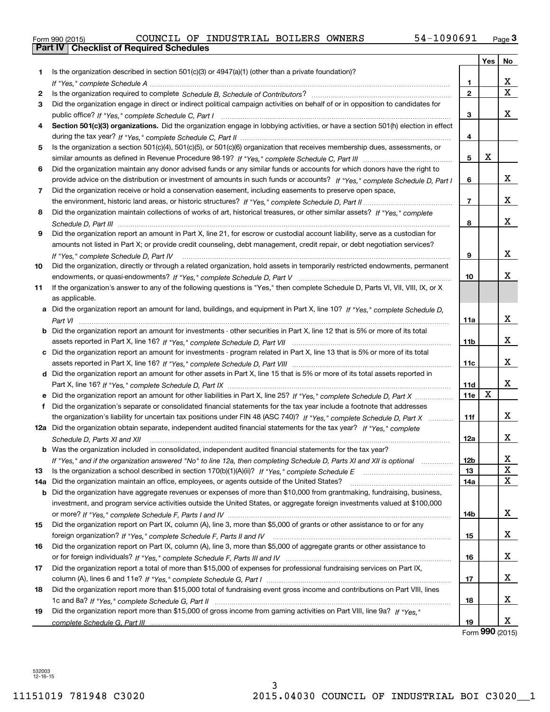| Form 990 (2015) |  |  |
|-----------------|--|--|

|     |                                                                                                                                                                                          |                      | Yes | No          |
|-----|------------------------------------------------------------------------------------------------------------------------------------------------------------------------------------------|----------------------|-----|-------------|
| 1.  | Is the organization described in section $501(c)(3)$ or $4947(a)(1)$ (other than a private foundation)?                                                                                  |                      |     |             |
|     |                                                                                                                                                                                          | 1.<br>$\overline{2}$ |     | x<br>X      |
| 2   |                                                                                                                                                                                          |                      |     |             |
| 3   | Did the organization engage in direct or indirect political campaign activities on behalf of or in opposition to candidates for                                                          | 3                    |     | x           |
|     | public office? If "Yes," complete Schedule C, Part I<br>Section 501(c)(3) organizations. Did the organization engage in lobbying activities, or have a section 501(h) election in effect |                      |     |             |
| 4   |                                                                                                                                                                                          | 4                    |     |             |
|     | Is the organization a section 501(c)(4), 501(c)(5), or 501(c)(6) organization that receives membership dues, assessments, or                                                             |                      |     |             |
| 5   |                                                                                                                                                                                          | 5                    | X   |             |
|     |                                                                                                                                                                                          |                      |     |             |
| 6   | Did the organization maintain any donor advised funds or any similar funds or accounts for which donors have the right to                                                                | 6                    |     | x           |
|     | provide advice on the distribution or investment of amounts in such funds or accounts? If "Yes," complete Schedule D, Part I                                                             |                      |     |             |
| 7   | Did the organization receive or hold a conservation easement, including easements to preserve open space,                                                                                | $\overline{7}$       |     | x           |
|     | Did the organization maintain collections of works of art, historical treasures, or other similar assets? If "Yes," complete                                                             |                      |     |             |
| 8   |                                                                                                                                                                                          |                      |     | x           |
|     | Did the organization report an amount in Part X, line 21, for escrow or custodial account liability, serve as a custodian for                                                            | 8                    |     |             |
| 9   | amounts not listed in Part X; or provide credit counseling, debt management, credit repair, or debt negotiation services?                                                                |                      |     |             |
|     |                                                                                                                                                                                          | 9                    |     | x           |
| 10  | If "Yes," complete Schedule D, Part IV<br>Did the organization, directly or through a related organization, hold assets in temporarily restricted endowments, permanent                  |                      |     |             |
|     |                                                                                                                                                                                          | 10                   |     | x           |
| 11  | If the organization's answer to any of the following questions is "Yes," then complete Schedule D, Parts VI, VII, VIII, IX, or X                                                         |                      |     |             |
|     | as applicable.                                                                                                                                                                           |                      |     |             |
|     | a Did the organization report an amount for land, buildings, and equipment in Part X, line 10? If "Yes," complete Schedule D,                                                            |                      |     |             |
|     |                                                                                                                                                                                          | 11a                  |     | x           |
|     | <b>b</b> Did the organization report an amount for investments - other securities in Part X, line 12 that is 5% or more of its total                                                     |                      |     |             |
|     |                                                                                                                                                                                          | 11 <sub>b</sub>      |     | x           |
|     | c Did the organization report an amount for investments - program related in Part X, line 13 that is 5% or more of its total                                                             |                      |     |             |
|     |                                                                                                                                                                                          | 11c                  |     | X           |
|     | d Did the organization report an amount for other assets in Part X, line 15 that is 5% or more of its total assets reported in                                                           |                      |     |             |
|     |                                                                                                                                                                                          | 11d                  |     | x           |
|     |                                                                                                                                                                                          | 11e                  | X   |             |
|     | f Did the organization's separate or consolidated financial statements for the tax year include a footnote that addresses                                                                |                      |     |             |
|     | the organization's liability for uncertain tax positions under FIN 48 (ASC 740)? If "Yes," complete Schedule D, Part X                                                                   | 11f                  |     | x           |
|     | 12a Did the organization obtain separate, independent audited financial statements for the tax year? If "Yes," complete                                                                  |                      |     |             |
|     | Schedule D, Parts XI and XII                                                                                                                                                             | 12a                  |     | X           |
|     | <b>b</b> Was the organization included in consolidated, independent audited financial statements for the tax year?                                                                       |                      |     |             |
|     | If "Yes," and if the organization answered "No" to line 12a, then completing Schedule D, Parts XI and XII is optional manum                                                              | 12 <sub>b</sub>      |     | х           |
| 13  |                                                                                                                                                                                          | 13                   |     | $\mathbf X$ |
| 14a | Did the organization maintain an office, employees, or agents outside of the United States?                                                                                              | 14a                  |     | X           |
| b   | Did the organization have aggregate revenues or expenses of more than \$10,000 from grantmaking, fundraising, business,                                                                  |                      |     |             |
|     | investment, and program service activities outside the United States, or aggregate foreign investments valued at \$100,000                                                               |                      |     |             |
|     |                                                                                                                                                                                          | 14b                  |     | X           |
| 15  | Did the organization report on Part IX, column (A), line 3, more than \$5,000 of grants or other assistance to or for any                                                                |                      |     |             |
|     |                                                                                                                                                                                          | 15                   |     | X           |
| 16  | Did the organization report on Part IX, column (A), line 3, more than \$5,000 of aggregate grants or other assistance to                                                                 |                      |     |             |
|     |                                                                                                                                                                                          | 16                   |     | X           |
| 17  | Did the organization report a total of more than \$15,000 of expenses for professional fundraising services on Part IX,                                                                  |                      |     |             |
|     |                                                                                                                                                                                          | 17                   |     | X           |
| 18  | Did the organization report more than \$15,000 total of fundraising event gross income and contributions on Part VIII, lines                                                             |                      |     |             |
|     |                                                                                                                                                                                          | 18                   |     | x           |
| 19  | Did the organization report more than \$15,000 of gross income from gaming activities on Part VIII, line 9a? If "Yes."                                                                   |                      |     |             |
|     |                                                                                                                                                                                          | 19                   |     | X           |

Form (2015) **990**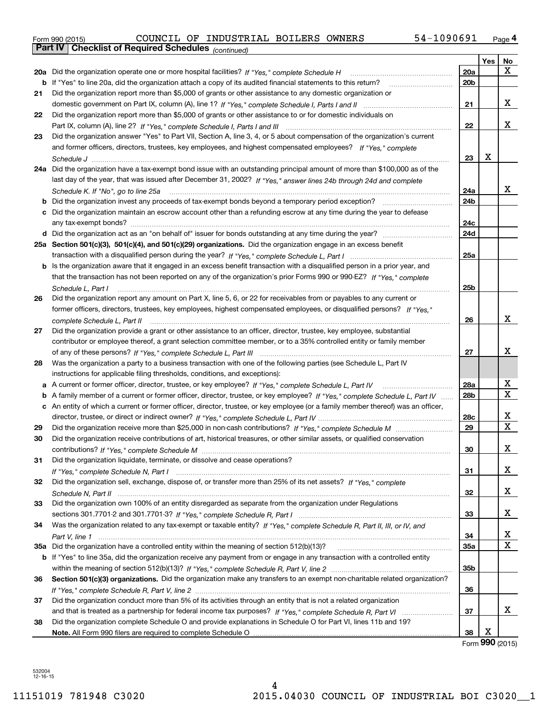| Form 990 (2015) |                                                              |  | COUNCIL OF INDUSTRIAL BOILERS OWNERS |  | 1090691<br>54-. | Page 4 |
|-----------------|--------------------------------------------------------------|--|--------------------------------------|--|-----------------|--------|
|                 | <b>Part IV   Checklist of Required Schedules</b> (continued) |  |                                      |  |                 |        |

|     |                                                                                                                                     |                 | Yes | No |
|-----|-------------------------------------------------------------------------------------------------------------------------------------|-----------------|-----|----|
| 20a | Did the organization operate one or more hospital facilities? If "Yes," complete Schedule H                                         | 20a             |     | X  |
|     | <b>b</b> If "Yes" to line 20a, did the organization attach a copy of its audited financial statements to this return?               | 20 <sub>b</sub> |     |    |
| 21  | Did the organization report more than \$5,000 of grants or other assistance to any domestic organization or                         |                 |     |    |
|     |                                                                                                                                     | 21              |     | x  |
| 22  | Did the organization report more than \$5,000 of grants or other assistance to or for domestic individuals on                       |                 |     |    |
|     |                                                                                                                                     | 22              |     | x  |
| 23  | Did the organization answer "Yes" to Part VII, Section A, line 3, 4, or 5 about compensation of the organization's current          |                 |     |    |
|     | and former officers, directors, trustees, key employees, and highest compensated employees? If "Yes," complete                      |                 |     |    |
|     |                                                                                                                                     | 23              | х   |    |
|     | 24a Did the organization have a tax-exempt bond issue with an outstanding principal amount of more than \$100,000 as of the         |                 |     |    |
|     | last day of the year, that was issued after December 31, 2002? If "Yes," answer lines 24b through 24d and complete                  |                 |     |    |
|     | Schedule K. If "No", go to line 25a                                                                                                 | 24a             |     | x  |
| b   |                                                                                                                                     | 24b             |     |    |
| c   | Did the organization maintain an escrow account other than a refunding escrow at any time during the year to defease                |                 |     |    |
|     |                                                                                                                                     | 24c             |     |    |
|     |                                                                                                                                     | 24d             |     |    |
|     | 25a Section 501(c)(3), 501(c)(4), and 501(c)(29) organizations. Did the organization engage in an excess benefit                    |                 |     |    |
|     |                                                                                                                                     | 25a             |     |    |
|     | <b>b</b> Is the organization aware that it engaged in an excess benefit transaction with a disqualified person in a prior year, and |                 |     |    |
|     | that the transaction has not been reported on any of the organization's prior Forms 990 or 990-EZ? If "Yes," complete               |                 |     |    |
|     | Schedule L, Part I                                                                                                                  | 25b             |     |    |
| 26  | Did the organization report any amount on Part X, line 5, 6, or 22 for receivables from or payables to any current or               |                 |     |    |
|     | former officers, directors, trustees, key employees, highest compensated employees, or disqualified persons? If "Yes."              |                 |     |    |
|     |                                                                                                                                     | 26              |     | х  |
| 27  | Did the organization provide a grant or other assistance to an officer, director, trustee, key employee, substantial                |                 |     |    |
|     | contributor or employee thereof, a grant selection committee member, or to a 35% controlled entity or family member                 |                 |     |    |
|     |                                                                                                                                     | 27              |     | х  |
| 28  | Was the organization a party to a business transaction with one of the following parties (see Schedule L, Part IV                   |                 |     |    |
|     | instructions for applicable filing thresholds, conditions, and exceptions):                                                         |                 |     |    |
|     | a A current or former officer, director, trustee, or key employee? If "Yes," complete Schedule L, Part IV                           | 28a             |     | х  |
| b   | A family member of a current or former officer, director, trustee, or key employee? If "Yes," complete Schedule L, Part IV          | 28 <sub>b</sub> |     | х  |
|     | c An entity of which a current or former officer, director, trustee, or key employee (or a family member thereof) was an officer,   |                 |     |    |
|     |                                                                                                                                     | 28c             |     | х  |
| 29  |                                                                                                                                     | 29              |     | X  |
| 30  | Did the organization receive contributions of art, historical treasures, or other similar assets, or qualified conservation         |                 |     |    |
|     |                                                                                                                                     | 30              |     | х  |
| 31  | Did the organization liquidate, terminate, or dissolve and cease operations?                                                        |                 |     |    |
|     |                                                                                                                                     | 31              |     | х  |
| 32  | Did the organization sell, exchange, dispose of, or transfer more than 25% of its net assets? If "Yes," complete                    |                 |     |    |
|     | Schedule N. Part II www.communications.com/www.communications.com/www.communications.com/www.communications.com                     | 32              |     | х  |
| 33  | Did the organization own 100% of an entity disregarded as separate from the organization under Regulations                          |                 |     |    |
|     |                                                                                                                                     | 33              |     | х  |
| 34  | Was the organization related to any tax-exempt or taxable entity? If "Yes," complete Schedule R, Part II, III, or IV, and           |                 |     |    |
|     |                                                                                                                                     | 34              |     | х  |
|     | 35a Did the organization have a controlled entity within the meaning of section 512(b)(13)?                                         | 35a             |     | х  |
|     | b If "Yes" to line 35a, did the organization receive any payment from or engage in any transaction with a controlled entity         |                 |     |    |
|     |                                                                                                                                     | 35 <sub>b</sub> |     |    |
| 36  | Section 501(c)(3) organizations. Did the organization make any transfers to an exempt non-charitable related organization?          |                 |     |    |
|     |                                                                                                                                     | 36              |     |    |
| 37  | Did the organization conduct more than 5% of its activities through an entity that is not a related organization                    |                 |     | x  |
|     |                                                                                                                                     | 37              |     |    |
| 38  | Did the organization complete Schedule O and provide explanations in Schedule O for Part VI, lines 11b and 19?                      | 38              | х   |    |
|     |                                                                                                                                     |                 |     |    |

Form (2015) **990**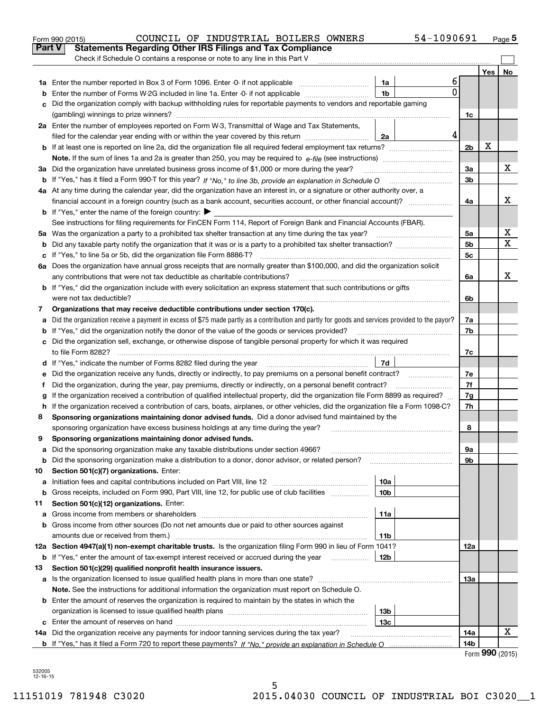|                                                                                                                       | COUNCIL OF INDUSTRIAL BOILERS OWNERS<br>Form 990 (2015)                                                                                         |                 | 54-1090691 |                |     | Page 5 |  |  |  |  |
|-----------------------------------------------------------------------------------------------------------------------|-------------------------------------------------------------------------------------------------------------------------------------------------|-----------------|------------|----------------|-----|--------|--|--|--|--|
|                                                                                                                       | Part V<br><b>Statements Regarding Other IRS Filings and Tax Compliance</b>                                                                      |                 |            |                |     |        |  |  |  |  |
|                                                                                                                       | Check if Schedule O contains a response or note to any line in this Part V                                                                      |                 |            |                |     |        |  |  |  |  |
|                                                                                                                       |                                                                                                                                                 |                 |            |                | Yes | No     |  |  |  |  |
|                                                                                                                       |                                                                                                                                                 | 1a              | 6          |                |     |        |  |  |  |  |
| b                                                                                                                     | Enter the number of Forms W-2G included in line 1a. Enter -0- if not applicable                                                                 | 1 <sub>b</sub>  | 0          |                |     |        |  |  |  |  |
| c                                                                                                                     | Did the organization comply with backup withholding rules for reportable payments to vendors and reportable gaming                              |                 |            |                |     |        |  |  |  |  |
|                                                                                                                       |                                                                                                                                                 |                 |            | 1c             |     |        |  |  |  |  |
|                                                                                                                       | 2a Enter the number of employees reported on Form W-3, Transmittal of Wage and Tax Statements,                                                  |                 |            |                |     |        |  |  |  |  |
|                                                                                                                       | filed for the calendar year ending with or within the year covered by this return                                                               | 2a              | 4          |                |     |        |  |  |  |  |
|                                                                                                                       |                                                                                                                                                 |                 |            | 2 <sub>b</sub> | х   |        |  |  |  |  |
|                                                                                                                       |                                                                                                                                                 |                 |            |                |     |        |  |  |  |  |
|                                                                                                                       | 3a Did the organization have unrelated business gross income of \$1,000 or more during the year?                                                |                 |            | 3a             |     | х      |  |  |  |  |
|                                                                                                                       |                                                                                                                                                 |                 |            |                |     |        |  |  |  |  |
|                                                                                                                       | 4a At any time during the calendar year, did the organization have an interest in, or a signature or other authority over, a                    |                 |            |                |     | X      |  |  |  |  |
|                                                                                                                       | financial account in a foreign country (such as a bank account, securities account, or other financial account)?                                |                 |            |                |     |        |  |  |  |  |
|                                                                                                                       | <b>b</b> If "Yes," enter the name of the foreign country: $\blacktriangleright$                                                                 |                 |            |                |     |        |  |  |  |  |
|                                                                                                                       | See instructions for filing requirements for FinCEN Form 114, Report of Foreign Bank and Financial Accounts (FBAR).                             |                 |            |                |     |        |  |  |  |  |
|                                                                                                                       |                                                                                                                                                 |                 |            | 5a             |     | х      |  |  |  |  |
| b                                                                                                                     |                                                                                                                                                 |                 |            | 5 <sub>b</sub> |     | х      |  |  |  |  |
|                                                                                                                       |                                                                                                                                                 |                 |            | 5c             |     |        |  |  |  |  |
|                                                                                                                       | 6a Does the organization have annual gross receipts that are normally greater than \$100,000, and did the organization solicit                  |                 |            |                |     |        |  |  |  |  |
|                                                                                                                       | any contributions that were not tax deductible as charitable contributions?                                                                     |                 |            | 6a             |     | x      |  |  |  |  |
|                                                                                                                       | <b>b</b> If "Yes," did the organization include with every solicitation an express statement that such contributions or gifts                   |                 |            |                |     |        |  |  |  |  |
|                                                                                                                       |                                                                                                                                                 |                 |            |                |     |        |  |  |  |  |
| 7                                                                                                                     | Organizations that may receive deductible contributions under section 170(c).                                                                   |                 |            |                |     |        |  |  |  |  |
| а                                                                                                                     | Did the organization receive a payment in excess of \$75 made partly as a contribution and partly for goods and services provided to the payor? |                 |            |                |     |        |  |  |  |  |
|                                                                                                                       | <b>b</b> If "Yes," did the organization notify the donor of the value of the goods or services provided?                                        |                 |            |                |     |        |  |  |  |  |
|                                                                                                                       | c Did the organization sell, exchange, or otherwise dispose of tangible personal property for which it was required                             |                 |            |                |     |        |  |  |  |  |
|                                                                                                                       |                                                                                                                                                 |                 |            |                |     |        |  |  |  |  |
|                                                                                                                       | d If "Yes," indicate the number of Forms 8282 filed during the year manufactured in the set of the set of the water.                            | 7d              |            | 7e             |     |        |  |  |  |  |
| е                                                                                                                     |                                                                                                                                                 |                 |            |                |     |        |  |  |  |  |
| f                                                                                                                     | Did the organization, during the year, pay premiums, directly or indirectly, on a personal benefit contract?                                    |                 |            | 7f             |     |        |  |  |  |  |
| g                                                                                                                     | If the organization received a contribution of qualified intellectual property, did the organization file Form 8899 as required?                |                 |            | 7g             |     |        |  |  |  |  |
|                                                                                                                       | h If the organization received a contribution of cars, boats, airplanes, or other vehicles, did the organization file a Form 1098-C?            |                 |            | 7h             |     |        |  |  |  |  |
| 8                                                                                                                     | Sponsoring organizations maintaining donor advised funds. Did a donor advised fund maintained by the                                            |                 |            |                |     |        |  |  |  |  |
|                                                                                                                       | sponsoring organization have excess business holdings at any time during the year?                                                              |                 |            | 8              |     |        |  |  |  |  |
|                                                                                                                       | Sponsoring organizations maintaining donor advised funds.                                                                                       |                 |            |                |     |        |  |  |  |  |
| a                                                                                                                     | Did the sponsoring organization make any taxable distributions under section 4966?                                                              |                 |            | 9а             |     |        |  |  |  |  |
| b                                                                                                                     | Did the sponsoring organization make a distribution to a donor, donor advisor, or related person?                                               |                 |            | 9b             |     |        |  |  |  |  |
| 10                                                                                                                    | Section 501(c)(7) organizations. Enter:                                                                                                         |                 |            |                |     |        |  |  |  |  |
| а                                                                                                                     | Initiation fees and capital contributions included on Part VIII, line 12                                                                        | 10a             |            |                |     |        |  |  |  |  |
| b                                                                                                                     | Gross receipts, included on Form 990, Part VIII, line 12, for public use of club facilities                                                     | 10 <sub>b</sub> |            |                |     |        |  |  |  |  |
| 11                                                                                                                    | Section 501(c)(12) organizations. Enter:                                                                                                        |                 |            |                |     |        |  |  |  |  |
| а                                                                                                                     | Gross income from members or shareholders                                                                                                       | 11a             |            |                |     |        |  |  |  |  |
| b                                                                                                                     | Gross income from other sources (Do not net amounts due or paid to other sources against                                                        |                 |            |                |     |        |  |  |  |  |
|                                                                                                                       | amounts due or received from them.)                                                                                                             | 11b             |            |                |     |        |  |  |  |  |
|                                                                                                                       | 12a Section 4947(a)(1) non-exempt charitable trusts. Is the organization filing Form 990 in lieu of Form 1041?                                  |                 |            | 12a            |     |        |  |  |  |  |
| <b>b</b> If "Yes," enter the amount of tax-exempt interest received or accrued during the year <i>manument</i><br>12b |                                                                                                                                                 |                 |            |                |     |        |  |  |  |  |
| 13                                                                                                                    | Section 501(c)(29) qualified nonprofit health insurance issuers.                                                                                |                 |            |                |     |        |  |  |  |  |
|                                                                                                                       | a Is the organization licensed to issue qualified health plans in more than one state?                                                          |                 |            | 13а            |     |        |  |  |  |  |
|                                                                                                                       | Note. See the instructions for additional information the organization must report on Schedule O.                                               |                 |            |                |     |        |  |  |  |  |
|                                                                                                                       | <b>b</b> Enter the amount of reserves the organization is required to maintain by the states in which the                                       |                 |            |                |     |        |  |  |  |  |
|                                                                                                                       |                                                                                                                                                 | 13b             |            |                |     |        |  |  |  |  |
|                                                                                                                       |                                                                                                                                                 | 13 <sub>c</sub> |            |                |     |        |  |  |  |  |
|                                                                                                                       | 14a Did the organization receive any payments for indoor tanning services during the tax year?                                                  |                 |            | 14a            |     | х      |  |  |  |  |
|                                                                                                                       |                                                                                                                                                 |                 |            | 14b            |     |        |  |  |  |  |

Form **990** (2015)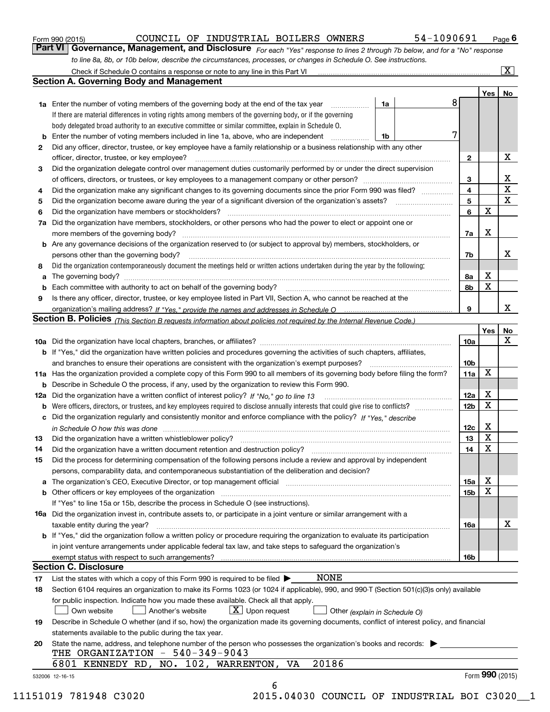| Form 990 (2015) |  |  |
|-----------------|--|--|
|                 |  |  |

*For each "Yes" response to lines 2 through 7b below, and for a "No" response to line 8a, 8b, or 10b below, describe the circumstances, processes, or changes in Schedule O. See instructions.* Form 990 (2015) **COUNCIL OF INDUSTRIAL BOILERS OWNERS** 54-1090691 Page 6<br>**Part VI Governance, Management, and Disclosure** For each "Yes" response to lines 2 through 7b below, and for a "No" response

|     |                                                                                                                                                                            |                               |   |                         | Yes <sub>1</sub> | No              |
|-----|----------------------------------------------------------------------------------------------------------------------------------------------------------------------------|-------------------------------|---|-------------------------|------------------|-----------------|
|     | <b>1a</b> Enter the number of voting members of the governing body at the end of the tax year <i>manumum</i>                                                               | 1a                            | 8 |                         |                  |                 |
|     | If there are material differences in voting rights among members of the governing body, or if the governing                                                                |                               |   |                         |                  |                 |
|     | body delegated broad authority to an executive committee or similar committee, explain in Schedule O.                                                                      |                               |   |                         |                  |                 |
|     | Enter the number of voting members included in line 1a, above, who are independent                                                                                         | 1b                            | 7 |                         |                  |                 |
| 2   | Did any officer, director, trustee, or key employee have a family relationship or a business relationship with any other                                                   |                               |   |                         |                  |                 |
|     | officer, director, trustee, or key employee?                                                                                                                               |                               |   | $\mathbf{2}$            |                  | х               |
| 3   | Did the organization delegate control over management duties customarily performed by or under the direct supervision                                                      |                               |   |                         |                  |                 |
|     |                                                                                                                                                                            |                               |   | 3                       |                  | х               |
| 4   | Did the organization make any significant changes to its governing documents since the prior Form 990 was filed?                                                           |                               |   | $\overline{\mathbf{4}}$ |                  | $\mathbf X$     |
| 5   |                                                                                                                                                                            |                               |   | 5                       |                  | X               |
| 6   |                                                                                                                                                                            |                               |   | 6                       | $\mathbf X$      |                 |
| 7a  | Did the organization have members, stockholders, or other persons who had the power to elect or appoint one or                                                             |                               |   |                         |                  |                 |
|     |                                                                                                                                                                            |                               |   | 7a                      | х                |                 |
|     | <b>b</b> Are any governance decisions of the organization reserved to (or subject to approval by) members, stockholders, or                                                |                               |   |                         |                  |                 |
|     | persons other than the governing body?                                                                                                                                     |                               |   | 7b                      |                  | х               |
| 8   | Did the organization contemporaneously document the meetings held or written actions undertaken during the year by the following:                                          |                               |   |                         |                  |                 |
| a   |                                                                                                                                                                            |                               |   | 8a                      | х                |                 |
|     |                                                                                                                                                                            |                               |   | 8b                      | X                |                 |
| 9   | Is there any officer, director, trustee, or key employee listed in Part VII, Section A, who cannot be reached at the                                                       |                               |   |                         |                  |                 |
|     |                                                                                                                                                                            |                               |   | 9                       |                  | х               |
|     | Section B. Policies (This Section B requests information about policies not required by the Internal Revenue Code.)                                                        |                               |   |                         |                  |                 |
|     |                                                                                                                                                                            |                               |   |                         | Yes              | No              |
|     |                                                                                                                                                                            |                               |   | 10a                     |                  | X               |
|     | <b>b</b> If "Yes," did the organization have written policies and procedures governing the activities of such chapters, affiliates,                                        |                               |   |                         |                  |                 |
|     |                                                                                                                                                                            |                               |   | 10 <sub>b</sub>         |                  |                 |
|     | 11a Has the organization provided a complete copy of this Form 990 to all members of its governing body before filing the form?                                            |                               |   | 11a                     | X                |                 |
|     | <b>b</b> Describe in Schedule O the process, if any, used by the organization to review this Form 990.                                                                     |                               |   |                         |                  |                 |
| 12a |                                                                                                                                                                            |                               |   | <b>12a</b>              | х                |                 |
|     |                                                                                                                                                                            |                               |   | 12b                     | X                |                 |
| b   | c Did the organization regularly and consistently monitor and enforce compliance with the policy? If "Yes," describe                                                       |                               |   |                         |                  |                 |
|     |                                                                                                                                                                            |                               |   |                         | х                |                 |
|     | in Schedule O how this was done encourance and the control of the state of the state of the state of the state                                                             |                               |   | 12c                     | X                |                 |
| 13  | Did the organization have a written whistleblower policy?                                                                                                                  |                               |   | 13                      | X                |                 |
| 14  | Did the organization have a written document retention and destruction policy? manufactured and the organization have a written document retention and destruction policy? |                               |   | 14                      |                  |                 |
| 15  | Did the process for determining compensation of the following persons include a review and approval by independent                                                         |                               |   |                         |                  |                 |
|     | persons, comparability data, and contemporaneous substantiation of the deliberation and decision?                                                                          |                               |   |                         |                  |                 |
|     |                                                                                                                                                                            |                               |   | 15a                     | х<br>X           |                 |
|     |                                                                                                                                                                            |                               |   | 15 <sub>b</sub>         |                  |                 |
|     | If "Yes" to line 15a or 15b, describe the process in Schedule O (see instructions).                                                                                        |                               |   |                         |                  |                 |
|     | 16a Did the organization invest in, contribute assets to, or participate in a joint venture or similar arrangement with a                                                  |                               |   |                         |                  |                 |
|     | taxable entity during the year?                                                                                                                                            |                               |   | 16a                     |                  | х               |
|     | <b>b</b> If "Yes," did the organization follow a written policy or procedure requiring the organization to evaluate its participation                                      |                               |   |                         |                  |                 |
|     | in joint venture arrangements under applicable federal tax law, and take steps to safeguard the organization's                                                             |                               |   |                         |                  |                 |
|     |                                                                                                                                                                            |                               |   | 16b                     |                  |                 |
|     | <b>Section C. Disclosure</b>                                                                                                                                               |                               |   |                         |                  |                 |
| 17  | <b>NONE</b><br>List the states with which a copy of this Form 990 is required to be filed $\blacktriangleright$                                                            |                               |   |                         |                  |                 |
| 18  | Section 6104 requires an organization to make its Forms 1023 (or 1024 if applicable), 990, and 990-T (Section 501(c)(3)s only) available                                   |                               |   |                         |                  |                 |
|     | for public inspection. Indicate how you made these available. Check all that apply.                                                                                        |                               |   |                         |                  |                 |
|     | $\boxed{\textbf{X}}$ Upon request<br>Own website<br>Another's website                                                                                                      | Other (explain in Schedule O) |   |                         |                  |                 |
| 19  | Describe in Schedule O whether (and if so, how) the organization made its governing documents, conflict of interest policy, and financial                                  |                               |   |                         |                  |                 |
|     | statements available to the public during the tax year.                                                                                                                    |                               |   |                         |                  |                 |
| 20  | State the name, address, and telephone number of the person who possesses the organization's books and records:                                                            |                               |   |                         |                  |                 |
|     | THE ORGANIZATION - 540-349-9043                                                                                                                                            |                               |   |                         |                  |                 |
|     | 20186<br>6801 KENNEDY RD, NO. 102, WARRENTON, VA                                                                                                                           |                               |   |                         |                  |                 |
|     |                                                                                                                                                                            |                               |   |                         |                  | Form 990 (2015) |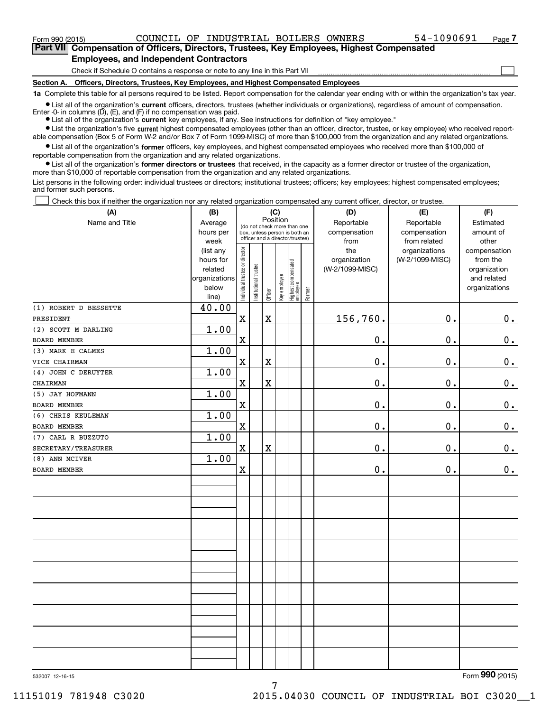$\mathcal{L}^{\text{max}}$ 

**7Part VII Compensation of Officers, Directors, Trustees, Key Employees, Highest Compensated Employees, and Independent Contractors**

Check if Schedule O contains a response or note to any line in this Part VII

**Section A. Officers, Directors, Trustees, Key Employees, and Highest Compensated Employees**

**1a**  Complete this table for all persons required to be listed. Report compensation for the calendar year ending with or within the organization's tax year.

**•** List all of the organization's current officers, directors, trustees (whether individuals or organizations), regardless of amount of compensation. Enter -0- in columns  $(D)$ ,  $(E)$ , and  $(F)$  if no compensation was paid.

● List all of the organization's **current** key employees, if any. See instructions for definition of "key employee."

**•** List the organization's five current highest compensated employees (other than an officer, director, trustee, or key employee) who received reportable compensation (Box 5 of Form W-2 and/or Box 7 of Form 1099-MISC) of more than \$100,000 from the organization and any related organizations.

 $\bullet$  List all of the organization's **former** officers, key employees, and highest compensated employees who received more than \$100,000 of reportable compensation from the organization and any related organizations.

**•** List all of the organization's former directors or trustees that received, in the capacity as a former director or trustee of the organization, more than \$10,000 of reportable compensation from the organization and any related organizations.

List persons in the following order: individual trustees or directors; institutional trustees; officers; key employees; highest compensated employees; and former such persons.

Check this box if neither the organization nor any related organization compensated any current officer, director, or trustee.  $\mathcal{L}^{\text{max}}$ 

| (A)                   | (B)                    | (C)                           |                       | (D)         | (E)          | (F)                              |        |                 |                 |               |
|-----------------------|------------------------|-------------------------------|-----------------------|-------------|--------------|----------------------------------|--------|-----------------|-----------------|---------------|
| Name and Title        | Average                |                               |                       |             | Position     | (do not check more than one      |        | Reportable      | Reportable      | Estimated     |
|                       | hours per              |                               |                       |             |              | box, unless person is both an    |        | compensation    | compensation    | amount of     |
|                       | week                   |                               |                       |             |              | officer and a director/trustee)  |        | from            | from related    | other         |
|                       | (list any              |                               |                       |             |              |                                  |        | the             | organizations   | compensation  |
|                       | hours for              |                               |                       |             |              |                                  |        | organization    | (W-2/1099-MISC) | from the      |
|                       | related                |                               |                       |             |              |                                  |        | (W-2/1099-MISC) |                 | organization  |
|                       | organizations<br>below |                               |                       |             |              |                                  |        |                 |                 | and related   |
|                       | line)                  | ndividual trustee or director | Institutional trustee | Officer     | Key employee | Highest compensated<br> employee | Former |                 |                 | organizations |
| (1) ROBERT D BESSETTE | 40.00                  |                               |                       |             |              |                                  |        |                 |                 |               |
| PRESIDENT             |                        | $\mathbf X$                   |                       | $\mathbf X$ |              |                                  |        | 156,760.        | $\mathbf{0}$ .  | $0_{.}$       |
| (2) SCOTT M DARLING   | 1.00                   |                               |                       |             |              |                                  |        |                 |                 |               |
| <b>BOARD MEMBER</b>   |                        | $\mathbf X$                   |                       |             |              |                                  |        | $0$ .           | $\mathbf 0$ .   | $0_{.}$       |
| (3) MARK E CALMES     | 1.00                   |                               |                       |             |              |                                  |        |                 |                 |               |
| VICE CHAIRMAN         |                        | $\mathbf x$                   |                       | $\mathbf X$ |              |                                  |        | 0.              | $\mathbf 0$ .   | $0_{.}$       |
| (4) JOHN C DERUYTER   | 1.00                   |                               |                       |             |              |                                  |        |                 |                 |               |
| CHAIRMAN              |                        | $\overline{\textbf{X}}$       |                       | $\rm X$     |              |                                  |        | 0.              | $\mathbf 0$ .   | $\mathbf 0$ . |
| (5) JAY HOFMANN       | 1.00                   |                               |                       |             |              |                                  |        |                 |                 |               |
| <b>BOARD MEMBER</b>   |                        | $\rm X$                       |                       |             |              |                                  |        | 0.              | $\mathbf 0$ .   | $0_{.}$       |
| (6) CHRIS KEULEMAN    | 1.00                   |                               |                       |             |              |                                  |        |                 |                 |               |
| BOARD MEMBER          |                        | $\mathbf X$                   |                       |             |              |                                  |        | 0.              | $\mathbf 0$ .   | $\mathbf 0$ . |
| (7) CARL R BUZZUTO    | 1.00                   |                               |                       |             |              |                                  |        |                 |                 |               |
| SECRETARY/TREASURER   |                        | $\mathbf X$                   |                       | $\rm X$     |              |                                  |        | 0.              | 0.              | $0_{.}$       |
| (8) ANN MCIVER        | 1.00                   |                               |                       |             |              |                                  |        |                 |                 |               |
| BOARD MEMBER          |                        | X                             |                       |             |              |                                  |        | $\mathbf 0$ .   | $\mathbf 0$ .   | 0.            |
|                       |                        |                               |                       |             |              |                                  |        |                 |                 |               |
|                       |                        |                               |                       |             |              |                                  |        |                 |                 |               |
|                       |                        |                               |                       |             |              |                                  |        |                 |                 |               |
|                       |                        |                               |                       |             |              |                                  |        |                 |                 |               |
|                       |                        |                               |                       |             |              |                                  |        |                 |                 |               |
|                       |                        |                               |                       |             |              |                                  |        |                 |                 |               |
|                       |                        |                               |                       |             |              |                                  |        |                 |                 |               |
|                       |                        |                               |                       |             |              |                                  |        |                 |                 |               |
|                       |                        |                               |                       |             |              |                                  |        |                 |                 |               |
|                       |                        |                               |                       |             |              |                                  |        |                 |                 |               |
|                       |                        |                               |                       |             |              |                                  |        |                 |                 |               |
|                       |                        |                               |                       |             |              |                                  |        |                 |                 |               |
|                       |                        |                               |                       |             |              |                                  |        |                 |                 |               |
|                       |                        |                               |                       |             |              |                                  |        |                 |                 |               |
|                       |                        |                               |                       |             |              |                                  |        |                 |                 |               |

532007 12-16-15

Form (2015) **990**

7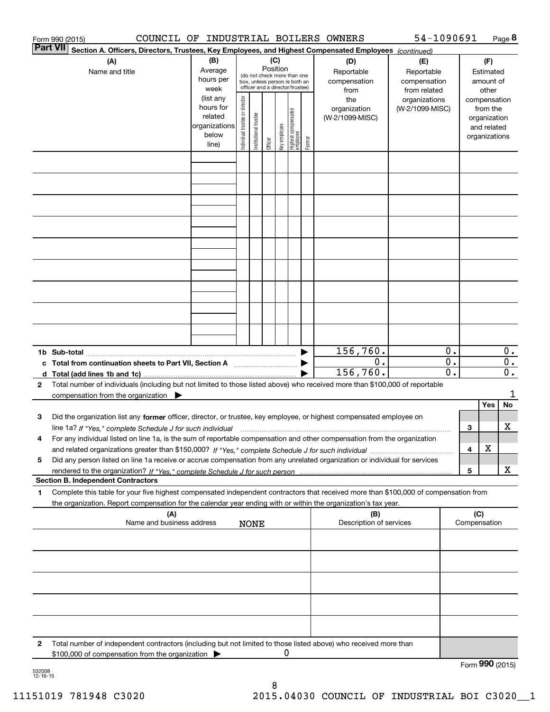| Form 990 (2015) | COUNCIL OF INDUSTRIAL BOILERS OWNERS                                                                                                            |               |                                |                       |          |              |                                                              |        |                         | 54-1090691      |                  |     |                 | Page 8                    |
|-----------------|-------------------------------------------------------------------------------------------------------------------------------------------------|---------------|--------------------------------|-----------------------|----------|--------------|--------------------------------------------------------------|--------|-------------------------|-----------------|------------------|-----|-----------------|---------------------------|
| <b>Part VII</b> | Section A. Officers, Directors, Trustees, Key Employees, and Highest Compensated Employees (continued)                                          |               |                                |                       |          |              |                                                              |        |                         |                 |                  |     |                 |                           |
|                 | (A)                                                                                                                                             | (B)           |                                |                       | (C)      |              |                                                              |        | (D)                     | (E)             |                  |     | (F)             |                           |
|                 | Name and title                                                                                                                                  | Average       |                                |                       | Position |              |                                                              |        | Reportable              | Reportable      |                  |     | Estimated       |                           |
|                 |                                                                                                                                                 | hours per     |                                |                       |          |              | (do not check more than one<br>box, unless person is both an |        | compensation            | compensation    |                  |     | amount of       |                           |
|                 |                                                                                                                                                 | week          |                                |                       |          |              | officer and a director/trustee)                              |        | from                    | from related    |                  |     | other           |                           |
|                 |                                                                                                                                                 | (list any     |                                |                       |          |              |                                                              |        | the                     | organizations   |                  |     | compensation    |                           |
|                 |                                                                                                                                                 | hours for     |                                |                       |          |              |                                                              |        | organization            | (W-2/1099-MISC) |                  |     | from the        |                           |
|                 |                                                                                                                                                 | related       |                                |                       |          |              |                                                              |        | (W-2/1099-MISC)         |                 |                  |     | organization    |                           |
|                 |                                                                                                                                                 | organizations |                                |                       |          |              |                                                              |        |                         |                 |                  |     | and related     |                           |
|                 |                                                                                                                                                 | below         | Individual trustee or director | Institutional trustee | Officer  | Key employee | Highest compensated<br> employee                             | Former |                         |                 |                  |     | organizations   |                           |
|                 |                                                                                                                                                 | line)         |                                |                       |          |              |                                                              |        |                         |                 |                  |     |                 |                           |
|                 |                                                                                                                                                 |               |                                |                       |          |              |                                                              |        |                         |                 |                  |     |                 |                           |
|                 |                                                                                                                                                 |               |                                |                       |          |              |                                                              |        |                         |                 |                  |     |                 |                           |
|                 |                                                                                                                                                 |               |                                |                       |          |              |                                                              |        |                         |                 |                  |     |                 |                           |
|                 |                                                                                                                                                 |               |                                |                       |          |              |                                                              |        |                         |                 |                  |     |                 |                           |
|                 |                                                                                                                                                 |               |                                |                       |          |              |                                                              |        |                         |                 |                  |     |                 |                           |
|                 |                                                                                                                                                 |               |                                |                       |          |              |                                                              |        |                         |                 |                  |     |                 |                           |
|                 |                                                                                                                                                 |               |                                |                       |          |              |                                                              |        |                         |                 |                  |     |                 |                           |
|                 |                                                                                                                                                 |               |                                |                       |          |              |                                                              |        |                         |                 |                  |     |                 |                           |
|                 |                                                                                                                                                 |               |                                |                       |          |              |                                                              |        |                         |                 |                  |     |                 |                           |
|                 |                                                                                                                                                 |               |                                |                       |          |              |                                                              |        |                         |                 |                  |     |                 |                           |
|                 |                                                                                                                                                 |               |                                |                       |          |              |                                                              |        |                         |                 |                  |     |                 |                           |
|                 |                                                                                                                                                 |               |                                |                       |          |              |                                                              |        |                         |                 |                  |     |                 |                           |
|                 |                                                                                                                                                 |               |                                |                       |          |              |                                                              |        |                         |                 |                  |     |                 |                           |
|                 |                                                                                                                                                 |               |                                |                       |          |              |                                                              |        |                         |                 |                  |     |                 |                           |
|                 |                                                                                                                                                 |               |                                |                       |          |              |                                                              |        |                         |                 |                  |     |                 |                           |
|                 |                                                                                                                                                 |               |                                |                       |          |              |                                                              |        |                         |                 |                  |     |                 |                           |
|                 |                                                                                                                                                 |               |                                |                       |          |              |                                                              |        |                         |                 |                  |     |                 |                           |
|                 |                                                                                                                                                 |               |                                |                       |          |              |                                                              |        |                         |                 |                  |     |                 |                           |
|                 |                                                                                                                                                 |               |                                |                       |          |              |                                                              |        | 156, 760.               |                 | 0.               |     |                 |                           |
|                 |                                                                                                                                                 |               |                                |                       |          |              |                                                              |        | 0.                      |                 | $\overline{0}$ . |     |                 | $0$ .<br>$\overline{0}$ . |
|                 | c Total from continuation sheets to Part VII, Section A <b>manual</b> Testion Structure 1                                                       |               |                                |                       |          |              |                                                              |        |                         |                 | $\overline{0}$ . |     |                 |                           |
|                 |                                                                                                                                                 |               |                                |                       |          |              |                                                              |        | 156,760.                |                 |                  |     |                 | 0.                        |
| $\mathbf{2}$    | Total number of individuals (including but not limited to those listed above) who received more than \$100,000 of reportable                    |               |                                |                       |          |              |                                                              |        |                         |                 |                  |     |                 |                           |
|                 | compensation from the organization                                                                                                              |               |                                |                       |          |              |                                                              |        |                         |                 |                  |     |                 | 1                         |
|                 |                                                                                                                                                 |               |                                |                       |          |              |                                                              |        |                         |                 |                  |     | Yes             | No                        |
| 3               | Did the organization list any former officer, director, or trustee, key employee, or highest compensated employee on                            |               |                                |                       |          |              |                                                              |        |                         |                 |                  |     |                 |                           |
|                 | line 1a? If "Yes," complete Schedule J for such individual manufactured contained and the 1a? If "Yes," complete Schedule J for such individual |               |                                |                       |          |              |                                                              |        |                         |                 |                  | 3   |                 | х                         |
|                 | For any individual listed on line 1a, is the sum of reportable compensation and other compensation from the organization                        |               |                                |                       |          |              |                                                              |        |                         |                 |                  |     |                 |                           |
|                 |                                                                                                                                                 |               |                                |                       |          |              |                                                              |        |                         |                 |                  | 4   | X               |                           |
| 5               | Did any person listed on line 1a receive or accrue compensation from any unrelated organization or individual for services                      |               |                                |                       |          |              |                                                              |        |                         |                 |                  |     |                 |                           |
|                 |                                                                                                                                                 |               |                                |                       |          |              |                                                              |        |                         |                 |                  | 5   |                 | х                         |
|                 | <b>Section B. Independent Contractors</b>                                                                                                       |               |                                |                       |          |              |                                                              |        |                         |                 |                  |     |                 |                           |
| 1               | Complete this table for your five highest compensated independent contractors that received more than \$100,000 of compensation from            |               |                                |                       |          |              |                                                              |        |                         |                 |                  |     |                 |                           |
|                 | the organization. Report compensation for the calendar year ending with or within the organization's tax year.                                  |               |                                |                       |          |              |                                                              |        |                         |                 |                  |     |                 |                           |
|                 | (A)                                                                                                                                             |               |                                |                       |          |              |                                                              |        | (B)                     |                 |                  | (C) |                 |                           |
|                 | Name and business address                                                                                                                       |               |                                | <b>NONE</b>           |          |              |                                                              |        | Description of services |                 |                  |     | Compensation    |                           |
|                 |                                                                                                                                                 |               |                                |                       |          |              |                                                              |        |                         |                 |                  |     |                 |                           |
|                 |                                                                                                                                                 |               |                                |                       |          |              |                                                              |        |                         |                 |                  |     |                 |                           |
|                 |                                                                                                                                                 |               |                                |                       |          |              |                                                              |        |                         |                 |                  |     |                 |                           |
|                 |                                                                                                                                                 |               |                                |                       |          |              |                                                              |        |                         |                 |                  |     |                 |                           |
|                 |                                                                                                                                                 |               |                                |                       |          |              |                                                              |        |                         |                 |                  |     |                 |                           |
|                 |                                                                                                                                                 |               |                                |                       |          |              |                                                              |        |                         |                 |                  |     |                 |                           |
|                 |                                                                                                                                                 |               |                                |                       |          |              |                                                              |        |                         |                 |                  |     |                 |                           |
|                 |                                                                                                                                                 |               |                                |                       |          |              |                                                              |        |                         |                 |                  |     |                 |                           |
|                 |                                                                                                                                                 |               |                                |                       |          |              |                                                              |        |                         |                 |                  |     |                 |                           |
|                 |                                                                                                                                                 |               |                                |                       |          |              |                                                              |        |                         |                 |                  |     |                 |                           |
|                 |                                                                                                                                                 |               |                                |                       |          |              |                                                              |        |                         |                 |                  |     |                 |                           |
| 2               | Total number of independent contractors (including but not limited to those listed above) who received more than                                |               |                                |                       |          | 0            |                                                              |        |                         |                 |                  |     |                 |                           |
|                 | \$100,000 of compensation from the organization                                                                                                 |               |                                |                       |          |              |                                                              |        |                         |                 |                  |     |                 |                           |
|                 |                                                                                                                                                 |               |                                |                       |          |              |                                                              |        |                         |                 |                  |     | Form 990 (2015) |                           |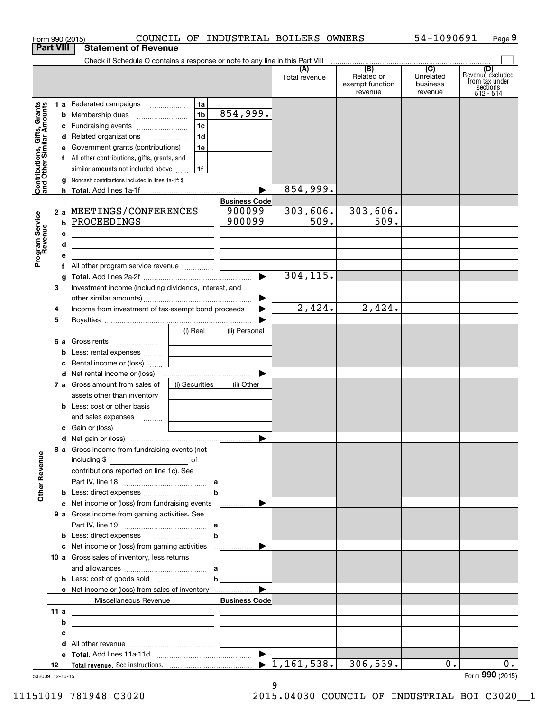|                                                           | Form 990 (2015)  |                                                                                                                                                                                                                                                                                                                  |                                              |                                          | COUNCIL OF INDUSTRIAL BOILERS OWNERS |                                                 | 54-1090691                                           | Page 9                                                             |
|-----------------------------------------------------------|------------------|------------------------------------------------------------------------------------------------------------------------------------------------------------------------------------------------------------------------------------------------------------------------------------------------------------------|----------------------------------------------|------------------------------------------|--------------------------------------|-------------------------------------------------|------------------------------------------------------|--------------------------------------------------------------------|
|                                                           | <b>Part VIII</b> | <b>Statement of Revenue</b>                                                                                                                                                                                                                                                                                      |                                              |                                          |                                      |                                                 |                                                      |                                                                    |
|                                                           |                  | Check if Schedule O contains a response or note to any line in this Part VIII                                                                                                                                                                                                                                    |                                              |                                          | (A)<br>Total revenue                 | (B)<br>Related or<br>exempt function<br>revenue | $\overline{(C)}$<br>Unrelated<br>business<br>revenue | (D)<br>Revenue excluded<br>from tax under<br>sections<br>512 - 514 |
| Contributions, Gifts, Grants<br>and Other Similar Amounts |                  | 1 a Federated campaigns<br><b>b</b> Membership dues<br>c Fundraising events<br>d Related organizations<br>e Government grants (contributions)<br>f All other contributions, gifts, grants, and<br>similar amounts not included above $\ldots$   1f<br><b>g</b> Noncash contributions included in lines 1a-1f: \$ | 1a  <br>1 <sub>b</sub><br>  1c  <br>1d<br>1e | 854,999.                                 |                                      |                                                 |                                                      |                                                                    |
|                                                           |                  |                                                                                                                                                                                                                                                                                                                  |                                              |                                          | 854,999.                             |                                                 |                                                      |                                                                    |
| Program Service<br>Revenue                                | b<br>c<br>d      | 2 a MEETINGS/CONFERENCES<br>PROCEEDINGS                                                                                                                                                                                                                                                                          |                                              | <b>Business Code</b><br>900099<br>900099 | 303,606.<br>509.                     | 303,606.<br>$\overline{509}$ .                  |                                                      |                                                                    |
|                                                           | е                |                                                                                                                                                                                                                                                                                                                  |                                              |                                          |                                      |                                                 |                                                      |                                                                    |
|                                                           | g                |                                                                                                                                                                                                                                                                                                                  |                                              | $\blacktriangleright$                    | 304, 115.                            |                                                 |                                                      |                                                                    |
|                                                           | З<br>4           | Investment income (including dividends, interest, and<br>Income from investment of tax-exempt bond proceeds                                                                                                                                                                                                      |                                              | ▶                                        | 2,424.                               | 2,424.                                          |                                                      |                                                                    |
|                                                           | 5                |                                                                                                                                                                                                                                                                                                                  | (i) Real                                     | (ii) Personal                            |                                      |                                                 |                                                      |                                                                    |
|                                                           | b<br>с           | Less: rental expenses   <br>Rental income or (loss)                                                                                                                                                                                                                                                              |                                              |                                          |                                      |                                                 |                                                      |                                                                    |
|                                                           |                  | <b>d</b> Net rental income or (loss)                                                                                                                                                                                                                                                                             |                                              |                                          |                                      |                                                 |                                                      |                                                                    |
|                                                           |                  | 7 a Gross amount from sales of<br>assets other than inventory<br><b>b</b> Less: cost or other basis<br>and sales expenses                                                                                                                                                                                        | (i) Securities                               | (ii) Other                               |                                      |                                                 |                                                      |                                                                    |
|                                                           |                  |                                                                                                                                                                                                                                                                                                                  |                                              |                                          |                                      |                                                 |                                                      |                                                                    |
| <b>Other Revenue</b>                                      |                  | 8 a Gross income from fundraising events (not<br>including \$<br><u>of</u> of<br>contributions reported on line 1c). See                                                                                                                                                                                         |                                              |                                          |                                      |                                                 |                                                      |                                                                    |
|                                                           |                  |                                                                                                                                                                                                                                                                                                                  |                                              |                                          |                                      |                                                 |                                                      |                                                                    |
|                                                           |                  | c Net income or (loss) from fundraising events<br>9 a Gross income from gaming activities. See                                                                                                                                                                                                                   |                                              |                                          |                                      |                                                 |                                                      |                                                                    |
|                                                           |                  | 10 a Gross sales of inventory, less returns                                                                                                                                                                                                                                                                      |                                              |                                          |                                      |                                                 |                                                      |                                                                    |
|                                                           |                  | <b>b</b> Less: cost of goods sold $\ldots$ <b>b</b><br>c Net income or (loss) from sales of inventory                                                                                                                                                                                                            |                                              |                                          |                                      |                                                 |                                                      |                                                                    |
|                                                           |                  | Miscellaneous Revenue                                                                                                                                                                                                                                                                                            |                                              | <b>Business Code</b>                     |                                      |                                                 |                                                      |                                                                    |
|                                                           | 11 a<br>b        |                                                                                                                                                                                                                                                                                                                  |                                              |                                          |                                      |                                                 |                                                      |                                                                    |
|                                                           | с<br>d           |                                                                                                                                                                                                                                                                                                                  |                                              |                                          |                                      |                                                 |                                                      |                                                                    |
|                                                           |                  |                                                                                                                                                                                                                                                                                                                  |                                              |                                          |                                      |                                                 |                                                      |                                                                    |
|                                                           | 12               |                                                                                                                                                                                                                                                                                                                  |                                              |                                          | $\blacktriangleright$ 1,161,538.     | 306,539.                                        | $0$ .                                                | 0.                                                                 |
|                                                           | 532009 12-16-15  |                                                                                                                                                                                                                                                                                                                  |                                              |                                          |                                      |                                                 |                                                      | Form 990 (2015)                                                    |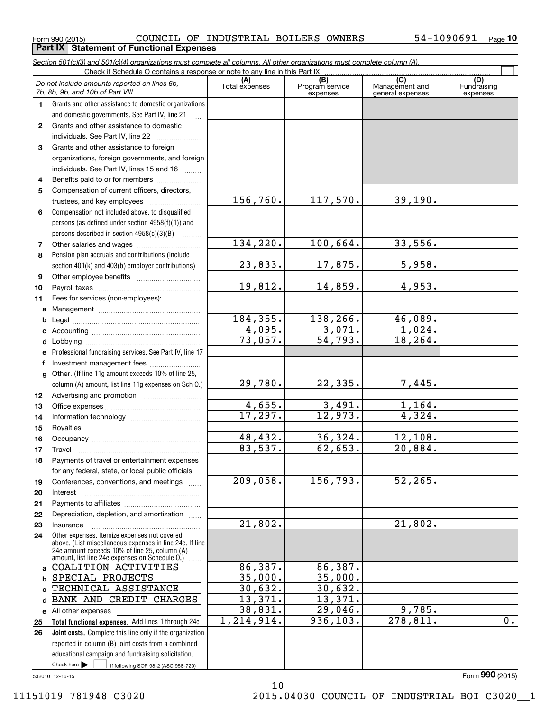$_{\rm Form}$   $_{990}$  (2015) <code>COUNCIL OF INDUSTRIAL BOILERS OWNERS</code>  $\rm 54-1090691$   $_{\rm Page}$ **Part IX | Statement of Functional Expenses** 

*Section 501(c)(3) and 501(c)(4) organizations must complete all columns. All other organizations must complete column (A).*

|              | Do not include amounts reported on lines 6b,<br>7b, 8b, 9b, and 10b of Part VIII.                         | (A)<br>Total expenses | $\overline{(B)}$<br>Program service<br>expenses | $\overline{C}$<br>Management and<br>general expenses | (D)<br>Fundraising<br>expenses |
|--------------|-----------------------------------------------------------------------------------------------------------|-----------------------|-------------------------------------------------|------------------------------------------------------|--------------------------------|
| 1.           | Grants and other assistance to domestic organizations                                                     |                       |                                                 |                                                      |                                |
|              | and domestic governments. See Part IV, line 21                                                            |                       |                                                 |                                                      |                                |
| $\mathbf{2}$ | Grants and other assistance to domestic                                                                   |                       |                                                 |                                                      |                                |
|              | individuals. See Part IV, line 22                                                                         |                       |                                                 |                                                      |                                |
| 3            | Grants and other assistance to foreign                                                                    |                       |                                                 |                                                      |                                |
|              | organizations, foreign governments, and foreign                                                           |                       |                                                 |                                                      |                                |
|              | individuals. See Part IV, lines 15 and 16                                                                 |                       |                                                 |                                                      |                                |
| 4            | Benefits paid to or for members                                                                           |                       |                                                 |                                                      |                                |
| 5            | Compensation of current officers, directors,                                                              |                       |                                                 |                                                      |                                |
|              |                                                                                                           | 156,760.              | 117,570.                                        | 39,190.                                              |                                |
| 6            | Compensation not included above, to disqualified                                                          |                       |                                                 |                                                      |                                |
|              | persons (as defined under section 4958(f)(1)) and                                                         |                       |                                                 |                                                      |                                |
|              | persons described in section 4958(c)(3)(B)                                                                |                       |                                                 |                                                      |                                |
| 7            |                                                                                                           | 134,220.              | 100,664.                                        | 33,556.                                              |                                |
| 8            | Pension plan accruals and contributions (include                                                          |                       |                                                 |                                                      |                                |
|              | section 401(k) and 403(b) employer contributions)                                                         | 23,833.               | 17,875.                                         | 5,958.                                               |                                |
| 9            |                                                                                                           |                       |                                                 |                                                      |                                |
| 10           |                                                                                                           | 19,812.               | 14,859.                                         | 4,953.                                               |                                |
| 11           | Fees for services (non-employees):                                                                        |                       |                                                 |                                                      |                                |
| a            |                                                                                                           |                       |                                                 |                                                      |                                |
| b            |                                                                                                           | 184, 355.             | 138,266.                                        | 46,089.                                              |                                |
| c            |                                                                                                           | 4,095.                | 3,071.                                          | 1,024.                                               |                                |
| d            |                                                                                                           | 73,057.               | $\overline{54,793}$ .                           | 18, 264.                                             |                                |
| е            | Professional fundraising services. See Part IV, line 17                                                   |                       |                                                 |                                                      |                                |
| f            | Investment management fees                                                                                |                       |                                                 |                                                      |                                |
| g            | Other. (If line 11g amount exceeds 10% of line 25,                                                        | 29,780.               | 22,335.                                         | 7,445.                                               |                                |
|              | column (A) amount, list line 11g expenses on Sch 0.)                                                      |                       |                                                 |                                                      |                                |
| 12           |                                                                                                           | 4,655.                | 3,491.                                          | 1,164.                                               |                                |
| 13           |                                                                                                           | 17,297.               | 12,973.                                         | $\overline{4,324}$ .                                 |                                |
| 14<br>15     |                                                                                                           |                       |                                                 |                                                      |                                |
| 16           |                                                                                                           | 48,432.               | 36,324.                                         | 12,108.                                              |                                |
| 17           | Travel                                                                                                    | 83,537.               | 62,653.                                         | 20,884.                                              |                                |
| 18           | Payments of travel or entertainment expenses                                                              |                       |                                                 |                                                      |                                |
|              | for any federal, state, or local public officials                                                         |                       |                                                 |                                                      |                                |
| 19           | Conferences, conventions, and meetings                                                                    | 209,058.              | 156,793.                                        | $\overline{52,265}$ .                                |                                |
| 20           | Interest                                                                                                  |                       |                                                 |                                                      |                                |
| 21           |                                                                                                           |                       |                                                 |                                                      |                                |
| 22           | Depreciation, depletion, and amortization                                                                 |                       |                                                 |                                                      |                                |
| 23           | Insurance                                                                                                 | $\overline{21,802}$ . |                                                 | 21,802.                                              |                                |
| 24           | Other expenses. Itemize expenses not covered                                                              |                       |                                                 |                                                      |                                |
|              | above. (List miscellaneous expenses in line 24e. If line<br>24e amount exceeds 10% of line 25, column (A) |                       |                                                 |                                                      |                                |
|              | amount, list line 24e expenses on Schedule O.)                                                            |                       |                                                 |                                                      |                                |
| a            | COALITION ACTIVITIES                                                                                      | 86,387.               | 86,387.                                         |                                                      |                                |
| b            | SPECIAL PROJECTS                                                                                          | 35,000.               | 35,000.                                         |                                                      |                                |
| C            | TECHNICAL ASSISTANCE                                                                                      | 30,632.               | 30,632.                                         |                                                      |                                |
| d            | BANK AND CREDIT CHARGES                                                                                   | 13,371.               | 13,371.                                         |                                                      |                                |
| е            | All other expenses                                                                                        | 38,831.               | 29,046.                                         | 9,785.                                               |                                |
| 25           | Total functional expenses. Add lines 1 through 24e                                                        | 1,214,914.            | 936, 103.                                       | 278,811.                                             | $\overline{0}$ .               |
| 26           | Joint costs. Complete this line only if the organization                                                  |                       |                                                 |                                                      |                                |
|              | reported in column (B) joint costs from a combined                                                        |                       |                                                 |                                                      |                                |
|              | educational campaign and fundraising solicitation.                                                        |                       |                                                 |                                                      |                                |
|              | Check here $\blacktriangleright$<br>if following SOP 98-2 (ASC 958-720)                                   |                       |                                                 |                                                      |                                |

10

532010 12-16-15

Form (2015) **990**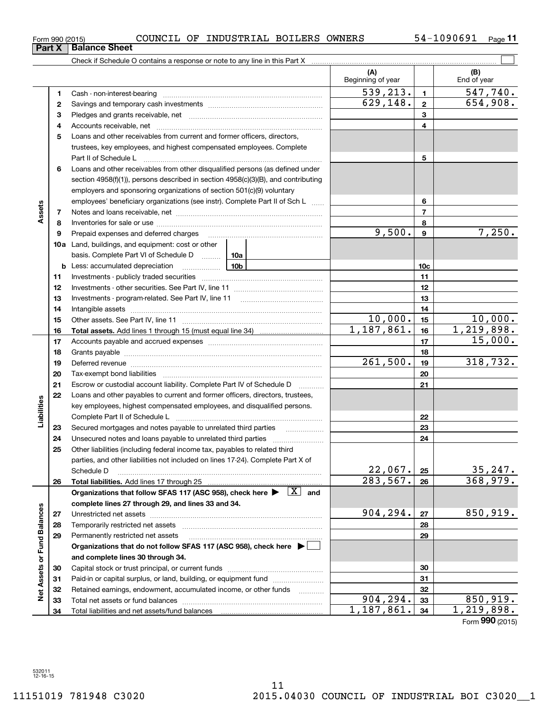Form (2015) **990**

| Form 990 (2015) |  | COUNCIL OF INDUSTRIAL BOILERS OWNERS |  |  | 54-1090691 | Page |
|-----------------|--|--------------------------------------|--|--|------------|------|
|-----------------|--|--------------------------------------|--|--|------------|------|

 $\mathcal{L}^{\text{max}}$ Check if Schedule O contains a response or note to any line in this Part X **(A) (B)** Beginning of year | | End of year  $539, 213. | 1 | 547, 740.$ **11**Cash - non-interest-bearing ~~~~~~~~~~~~~~~~~~~~~~~~~  $629, 148. | 2 | 654, 908.$ **22**Savings and temporary cash investments ~~~~~~~~~~~~~~~~~~**33** Pledges and grants receivable, net  $\ldots$  **multimes contained and grants receivable**, net **multimes contained and grants receivable**, net **multimes contained and grants receivable** Accounts receivable, net ~~~~~~~~~~~~~~~~~~~~~~~~~~ **445**Loans and other receivables from current and former officers, directors, trustees, key employees, and highest compensated employees. Complete Part II of Schedule L ~~~~~~~~~~~~~~~~~~~~~~~~~~~~ **56**Loans and other receivables from other disqualified persons (as defined under section 4958(f)(1)), persons described in section 4958(c)(3)(B), and contributing employers and sponsoring organizations of section 501(c)(9) voluntary employees' beneficiary organizations (see instr). Complete Part II of Sch L ...... **6Assets 77**Notes and loans receivable, net ~~~~~~~~~~~~~~~~~~~~~~~ **88**Inventories for sale or use ~~~~~~~~~~~~~~~~~~~~~~~~~~  $9,500.$   $9$  7,250. **9**Prepaid expenses and deferred charges **910a**Land, buildings, and equipment: cost or other basis. Complete Part VI of Schedule D will aller **10cb** Less: accumulated depreciation \_\_\_\_\_\_\_\_\_\_\_\_\_\_\_ Lub **1111**Investments - publicly traded securities ~~~~~~~~~~~~~~~~~~~ **1212**Investments - other securities. See Part IV, line 11 ~~~~~~~~~~~~~~**13**Investments - program-related. See Part IV, line 11 **131414**Intangible assets ……………………………………………………………………………………  $10,000.$  15 10,000. Other assets. See Part IV, line 11 ~~~~~~~~~~~~~~~~~~~~~~ **1515** $1,187,861.$  | 16 | 1,219,898. **1616Total assets.**  Add lines 1 through 15 (must equal line 34) 15,000. **1717**Accounts payable and accrued expenses ~~~~~~~~~~~~~~~~~~**1818**Grants payable ~~~~~~~~~~~~~~~~~~~~~~~~~~~~~~~ 261,500. 19 318,732. **1919**Deferred revenue et al. **Deferred** revenue et al. **Deferred** revenue et al. **Deferred** revenue et al. **Deferred** revenue et al. **Deferred** revenue et al. **Deferred** revenue et al. **Deferred** revenue et al. **Deferred** reven **2020**Tax-exempt bond liabilities …………………………………………………………… **21**Escrow or custodial account liability. Complete Part IV of Schedule D **21**Loans and other payables to current and former officers, directors, trustees, **22**Liabilities **Liabilities** key employees, highest compensated employees, and disqualified persons. **22**Complete Part II of Schedule L <sub>…………………………………………………………</sub> **23**Secured mortgages and notes payable to unrelated third parties **23**Unsecured notes and loans payable to unrelated third parties ~~~~~~~~~~~~~~~~~~~~ **2424**Other liabilities (including federal income tax, payables to related third **25**parties, and other liabilities not included on lines 17-24). Complete Part X of  $22,067$ .  $25$  35,247. Schedule D ~~~~~~~~~~~~~~~~~~~~~~~~~~~~~~~~ **25** $283,567.$   $26$  368,979. **2626Total liabilities.**  Add lines 17 through 25 Organizations that follow SFAS 117 (ASC 958), check here  $\blacktriangleright$   $\boxed{\text{X}}$  and **complete lines 27 through 29, and lines 33 and 34. Net Assets or Fund Balances Net Assets or Fund Balances**  $904, 294. |z_7|$  850, 919. **2727**Unrestricted net assets ~~~~~~~~~~~~~~~~~~~~~~~~~~~ **2828**Temporarily restricted net assets ~~~~~~~~~~~~~~~~~~~~~~ **29**Permanently restricted net assets **29**~~~~~~~~~~~~~~~~~~~~~**Organizations that do not follow SFAS 117 (ASC 958), check here** | **and complete lines 30 through 34. 3030**Capital stock or trust principal, or current funds ~~~~~~~~~~~~~~~ **3131**Paid-in or capital surplus, or land, building, or equipment fund will concurred. **3232**Retained earnings, endowment, accumulated income, or other funds www.com  $904, 294. |33|$  850, 919. **33**Total net assets or fund balances ~~~~~~~~~~~~~~~~~~~~~~ **33** $1,187,861.$   $34$  | 1,219,898. **34**Total liabilities and net assets/fund balances **34**

**Part X** Balance Sheet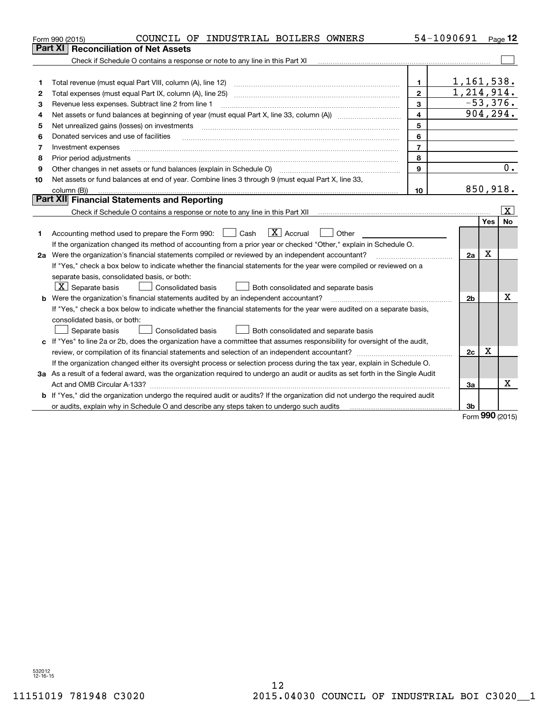|    | COUNCIL OF INDUSTRIAL BOILERS OWNERS<br>Form 990 (2015)                                                                         |                | 54-1090691     |             | Page 12    |  |  |  |
|----|---------------------------------------------------------------------------------------------------------------------------------|----------------|----------------|-------------|------------|--|--|--|
|    | <b>Reconciliation of Net Assets</b><br>Part XI                                                                                  |                |                |             |            |  |  |  |
|    | Check if Schedule O contains a response or note to any line in this Part XI                                                     |                |                |             |            |  |  |  |
|    |                                                                                                                                 |                |                |             |            |  |  |  |
| 1  | Total revenue (must equal Part VIII, column (A), line 12)                                                                       | $\mathbf{1}$   | 1,161,538.     |             |            |  |  |  |
| 2  |                                                                                                                                 | $\mathbf{2}$   | 1,214,914.     |             |            |  |  |  |
| 3  | Revenue less expenses. Subtract line 2 from line 1                                                                              | 3              |                |             | $-53,376.$ |  |  |  |
| 4  |                                                                                                                                 | $\overline{4}$ | 904, 294.      |             |            |  |  |  |
| 5  | 5<br>Net unrealized gains (losses) on investments                                                                               |                |                |             |            |  |  |  |
| 6  | Donated services and use of facilities                                                                                          | 6              |                |             |            |  |  |  |
| 7  | Investment expenses                                                                                                             | $\overline{7}$ |                |             |            |  |  |  |
| 8  | Prior period adjustments                                                                                                        | 8              |                |             |            |  |  |  |
| 9  | Other changes in net assets or fund balances (explain in Schedule O)                                                            | 9              |                |             | 0.         |  |  |  |
| 10 | Net assets or fund balances at end of year. Combine lines 3 through 9 (must equal Part X, line 33,                              |                |                |             |            |  |  |  |
|    | column (B))                                                                                                                     | 10             | 850,918.       |             |            |  |  |  |
|    | Part XII Financial Statements and Reporting                                                                                     |                |                |             |            |  |  |  |
|    |                                                                                                                                 |                |                |             | Ιx.        |  |  |  |
|    |                                                                                                                                 |                |                | Yes         | <b>No</b>  |  |  |  |
| 1  | $\boxed{\text{X}}$ Accrual<br>Accounting method used to prepare the Form 990: <u>[</u> Cash<br>Other<br>$\mathcal{L}$           |                |                |             |            |  |  |  |
|    | If the organization changed its method of accounting from a prior year or checked "Other," explain in Schedule O.               |                |                |             |            |  |  |  |
|    | 2a Were the organization's financial statements compiled or reviewed by an independent accountant?                              |                | 2a             | $\mathbf X$ |            |  |  |  |
|    | If "Yes," check a box below to indicate whether the financial statements for the year were compiled or reviewed on a            |                |                |             |            |  |  |  |
|    | separate basis, consolidated basis, or both:                                                                                    |                |                |             |            |  |  |  |
|    | $X$ Separate basis<br>Consolidated basis<br>Both consolidated and separate basis                                                |                |                |             |            |  |  |  |
|    | <b>b</b> Were the organization's financial statements audited by an independent accountant?                                     |                | 2 <sub>b</sub> |             | X          |  |  |  |
|    | If "Yes," check a box below to indicate whether the financial statements for the year were audited on a separate basis,         |                |                |             |            |  |  |  |
|    | consolidated basis, or both:                                                                                                    |                |                |             |            |  |  |  |
|    | <b>Consolidated basis</b><br>Separate basis<br>Both consolidated and separate basis                                             |                |                |             |            |  |  |  |
|    | c If "Yes" to line 2a or 2b, does the organization have a committee that assumes responsibility for oversight of the audit,     |                |                |             |            |  |  |  |
|    |                                                                                                                                 |                | 2c             | $\mathbf X$ |            |  |  |  |
|    | If the organization changed either its oversight process or selection process during the tax year, explain in Schedule O.       |                |                |             |            |  |  |  |
|    | 3a As a result of a federal award, was the organization required to undergo an audit or audits as set forth in the Single Audit |                |                |             |            |  |  |  |
|    | Act and OMB Circular A-133?                                                                                                     |                | 3a             |             | x          |  |  |  |
|    | b If "Yes," did the organization undergo the required audit or audits? If the organization did not undergo the required audit   |                |                |             |            |  |  |  |
|    | or audits, explain why in Schedule O and describe any steps taken to undergo such audits                                        |                | 3b             |             |            |  |  |  |
|    |                                                                                                                                 |                |                | nnn.        |            |  |  |  |

Form (2015) **990**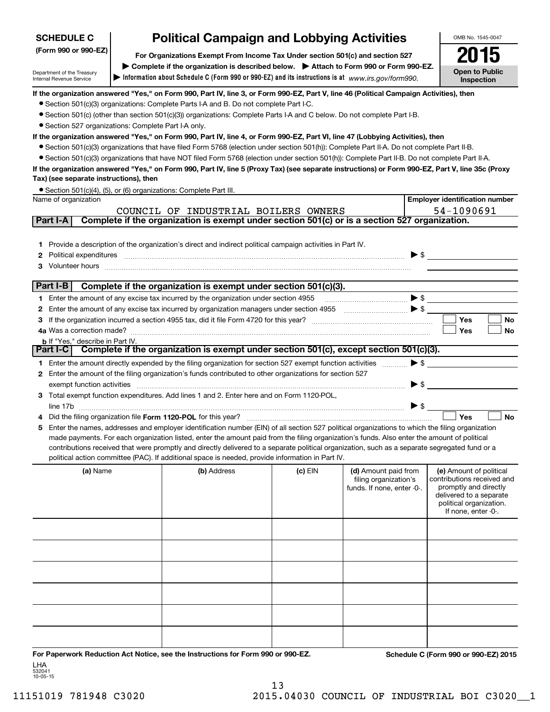| <b>SCHEDULE C</b>                                                                                                                                                                                                                                                                              | <b>Political Campaign and Lobbying Activities</b> |                                                                                                                                                                                                                                                                                                                                                                                                   | OMB No. 1545-0047 |                                                                             |                          |                                                                                                                                                             |  |  |  |  |  |
|------------------------------------------------------------------------------------------------------------------------------------------------------------------------------------------------------------------------------------------------------------------------------------------------|---------------------------------------------------|---------------------------------------------------------------------------------------------------------------------------------------------------------------------------------------------------------------------------------------------------------------------------------------------------------------------------------------------------------------------------------------------------|-------------------|-----------------------------------------------------------------------------|--------------------------|-------------------------------------------------------------------------------------------------------------------------------------------------------------|--|--|--|--|--|
| (Form 990 or 990-EZ)                                                                                                                                                                                                                                                                           |                                                   | For Organizations Exempt From Income Tax Under section 501(c) and section 527                                                                                                                                                                                                                                                                                                                     |                   |                                                                             |                          | 15                                                                                                                                                          |  |  |  |  |  |
|                                                                                                                                                                                                                                                                                                |                                                   | Complete if the organization is described below. > Attach to Form 990 or Form 990-EZ.                                                                                                                                                                                                                                                                                                             |                   |                                                                             |                          |                                                                                                                                                             |  |  |  |  |  |
| Department of the Treasury<br>Internal Revenue Service                                                                                                                                                                                                                                         |                                                   | Information about Schedule C (Form 990 or 990-EZ) and its instructions is at www.irs.gov/form990.                                                                                                                                                                                                                                                                                                 |                   |                                                                             |                          | <b>Open to Public</b><br>Inspection                                                                                                                         |  |  |  |  |  |
|                                                                                                                                                                                                                                                                                                |                                                   | If the organization answered "Yes," on Form 990, Part IV, line 3, or Form 990-EZ, Part V, line 46 (Political Campaign Activities), then                                                                                                                                                                                                                                                           |                   |                                                                             |                          |                                                                                                                                                             |  |  |  |  |  |
|                                                                                                                                                                                                                                                                                                |                                                   | • Section 501(c)(3) organizations: Complete Parts I-A and B. Do not complete Part I-C.                                                                                                                                                                                                                                                                                                            |                   |                                                                             |                          |                                                                                                                                                             |  |  |  |  |  |
|                                                                                                                                                                                                                                                                                                |                                                   | • Section 501(c) (other than section 501(c)(3)) organizations: Complete Parts I-A and C below. Do not complete Part I-B.                                                                                                                                                                                                                                                                          |                   |                                                                             |                          |                                                                                                                                                             |  |  |  |  |  |
| • Section 527 organizations: Complete Part I-A only.                                                                                                                                                                                                                                           |                                                   |                                                                                                                                                                                                                                                                                                                                                                                                   |                   |                                                                             |                          |                                                                                                                                                             |  |  |  |  |  |
|                                                                                                                                                                                                                                                                                                |                                                   | If the organization answered "Yes," on Form 990, Part IV, line 4, or Form 990-EZ, Part VI, line 47 (Lobbying Activities), then                                                                                                                                                                                                                                                                    |                   |                                                                             |                          |                                                                                                                                                             |  |  |  |  |  |
| • Section 501(c)(3) organizations that have filed Form 5768 (election under section 501(h)): Complete Part II-A. Do not complete Part II-B.<br>• Section 501(c)(3) organizations that have NOT filed Form 5768 (election under section 501(h)): Complete Part II-B. Do not complete Part II-A. |                                                   |                                                                                                                                                                                                                                                                                                                                                                                                   |                   |                                                                             |                          |                                                                                                                                                             |  |  |  |  |  |
|                                                                                                                                                                                                                                                                                                |                                                   |                                                                                                                                                                                                                                                                                                                                                                                                   |                   |                                                                             |                          |                                                                                                                                                             |  |  |  |  |  |
| Tax) (see separate instructions), then                                                                                                                                                                                                                                                         |                                                   | If the organization answered "Yes," on Form 990, Part IV, line 5 (Proxy Tax) (see separate instructions) or Form 990-EZ, Part V, line 35c (Proxy                                                                                                                                                                                                                                                  |                   |                                                                             |                          |                                                                                                                                                             |  |  |  |  |  |
|                                                                                                                                                                                                                                                                                                |                                                   | • Section 501(c)(4), (5), or (6) organizations: Complete Part III.                                                                                                                                                                                                                                                                                                                                |                   |                                                                             |                          |                                                                                                                                                             |  |  |  |  |  |
| Name of organization                                                                                                                                                                                                                                                                           |                                                   |                                                                                                                                                                                                                                                                                                                                                                                                   |                   |                                                                             |                          | <b>Employer identification number</b>                                                                                                                       |  |  |  |  |  |
|                                                                                                                                                                                                                                                                                                |                                                   | COUNCIL OF INDUSTRIAL BOILERS OWNERS                                                                                                                                                                                                                                                                                                                                                              |                   |                                                                             |                          | 54-1090691                                                                                                                                                  |  |  |  |  |  |
| Part I-A                                                                                                                                                                                                                                                                                       |                                                   | Complete if the organization is exempt under section 501(c) or is a section 527 organization.                                                                                                                                                                                                                                                                                                     |                   |                                                                             |                          |                                                                                                                                                             |  |  |  |  |  |
|                                                                                                                                                                                                                                                                                                |                                                   |                                                                                                                                                                                                                                                                                                                                                                                                   |                   |                                                                             |                          |                                                                                                                                                             |  |  |  |  |  |
| 1.                                                                                                                                                                                                                                                                                             |                                                   | Provide a description of the organization's direct and indirect political campaign activities in Part IV.                                                                                                                                                                                                                                                                                         |                   |                                                                             |                          |                                                                                                                                                             |  |  |  |  |  |
| 2                                                                                                                                                                                                                                                                                              |                                                   | Political expenditures <i>machine machine content and all experimental expenditures</i>                                                                                                                                                                                                                                                                                                           |                   |                                                                             |                          | $\blacktriangleright$ \$                                                                                                                                    |  |  |  |  |  |
| 3                                                                                                                                                                                                                                                                                              |                                                   | Volunteer hours with an accommodal contract and contract and contract and contract and contract and contract and contract and contract and contract and contract and contract and contract and contract and contract and contr                                                                                                                                                                    |                   |                                                                             |                          |                                                                                                                                                             |  |  |  |  |  |
|                                                                                                                                                                                                                                                                                                |                                                   |                                                                                                                                                                                                                                                                                                                                                                                                   |                   |                                                                             |                          |                                                                                                                                                             |  |  |  |  |  |
| Part I-B                                                                                                                                                                                                                                                                                       |                                                   | Complete if the organization is exempt under section 501(c)(3).                                                                                                                                                                                                                                                                                                                                   |                   |                                                                             |                          |                                                                                                                                                             |  |  |  |  |  |
|                                                                                                                                                                                                                                                                                                |                                                   | 1 Enter the amount of any excise tax incurred by the organization under section 4955                                                                                                                                                                                                                                                                                                              |                   |                                                                             |                          | $\blacktriangleright$ \$                                                                                                                                    |  |  |  |  |  |
| 2                                                                                                                                                                                                                                                                                              |                                                   | Enter the amount of any excise tax incurred by organization managers under section 4955                                                                                                                                                                                                                                                                                                           |                   |                                                                             |                          |                                                                                                                                                             |  |  |  |  |  |
| з                                                                                                                                                                                                                                                                                              |                                                   |                                                                                                                                                                                                                                                                                                                                                                                                   |                   |                                                                             |                          | Yes<br><b>No</b>                                                                                                                                            |  |  |  |  |  |
|                                                                                                                                                                                                                                                                                                |                                                   |                                                                                                                                                                                                                                                                                                                                                                                                   |                   |                                                                             |                          | Yes<br>No                                                                                                                                                   |  |  |  |  |  |
| <b>b</b> If "Yes," describe in Part IV.<br><b>Part I-C</b>                                                                                                                                                                                                                                     |                                                   | Complete if the organization is exempt under section $501(c)$ , except section $501(c)(3)$ .                                                                                                                                                                                                                                                                                                      |                   |                                                                             |                          |                                                                                                                                                             |  |  |  |  |  |
|                                                                                                                                                                                                                                                                                                |                                                   |                                                                                                                                                                                                                                                                                                                                                                                                   |                   |                                                                             |                          |                                                                                                                                                             |  |  |  |  |  |
|                                                                                                                                                                                                                                                                                                |                                                   | 1 Enter the amount directly expended by the filing organization for section 527 exempt function activities                                                                                                                                                                                                                                                                                        |                   |                                                                             | $\blacktriangleright$ \$ |                                                                                                                                                             |  |  |  |  |  |
| 2                                                                                                                                                                                                                                                                                              |                                                   | Enter the amount of the filing organization's funds contributed to other organizations for section 527                                                                                                                                                                                                                                                                                            |                   |                                                                             | $\blacktriangleright$ \$ |                                                                                                                                                             |  |  |  |  |  |
| exempt function activities                                                                                                                                                                                                                                                                     |                                                   | 3 Total exempt function expenditures. Add lines 1 and 2. Enter here and on Form 1120-POL,                                                                                                                                                                                                                                                                                                         |                   |                                                                             |                          |                                                                                                                                                             |  |  |  |  |  |
|                                                                                                                                                                                                                                                                                                |                                                   |                                                                                                                                                                                                                                                                                                                                                                                                   |                   |                                                                             | $\blacktriangleright$ \$ |                                                                                                                                                             |  |  |  |  |  |
|                                                                                                                                                                                                                                                                                                |                                                   | Did the filing organization file Form 1120-POL for this year?                                                                                                                                                                                                                                                                                                                                     |                   |                                                                             |                          | <b>No</b><br>Yes                                                                                                                                            |  |  |  |  |  |
| 5                                                                                                                                                                                                                                                                                              |                                                   | Enter the names, addresses and employer identification number (EIN) of all section 527 political organizations to which the filing organization                                                                                                                                                                                                                                                   |                   |                                                                             |                          |                                                                                                                                                             |  |  |  |  |  |
|                                                                                                                                                                                                                                                                                                |                                                   | made payments. For each organization listed, enter the amount paid from the filing organization's funds. Also enter the amount of political<br>contributions received that were promptly and directly delivered to a separate political organization, such as a separate segregated fund or a<br>political action committee (PAC). If additional space is needed, provide information in Part IV. |                   |                                                                             |                          |                                                                                                                                                             |  |  |  |  |  |
|                                                                                                                                                                                                                                                                                                |                                                   |                                                                                                                                                                                                                                                                                                                                                                                                   |                   |                                                                             |                          |                                                                                                                                                             |  |  |  |  |  |
| (a) Name                                                                                                                                                                                                                                                                                       |                                                   | (b) Address                                                                                                                                                                                                                                                                                                                                                                                       | $(c)$ EIN         | (d) Amount paid from<br>filing organization's<br>funds. If none, enter -0-. |                          | (e) Amount of political<br>contributions received and<br>promptly and directly<br>delivered to a separate<br>political organization.<br>If none, enter -0-. |  |  |  |  |  |
|                                                                                                                                                                                                                                                                                                |                                                   |                                                                                                                                                                                                                                                                                                                                                                                                   |                   |                                                                             |                          |                                                                                                                                                             |  |  |  |  |  |
|                                                                                                                                                                                                                                                                                                |                                                   |                                                                                                                                                                                                                                                                                                                                                                                                   |                   |                                                                             |                          |                                                                                                                                                             |  |  |  |  |  |
|                                                                                                                                                                                                                                                                                                |                                                   |                                                                                                                                                                                                                                                                                                                                                                                                   |                   |                                                                             |                          |                                                                                                                                                             |  |  |  |  |  |
|                                                                                                                                                                                                                                                                                                |                                                   |                                                                                                                                                                                                                                                                                                                                                                                                   |                   |                                                                             |                          |                                                                                                                                                             |  |  |  |  |  |
|                                                                                                                                                                                                                                                                                                |                                                   |                                                                                                                                                                                                                                                                                                                                                                                                   |                   |                                                                             |                          |                                                                                                                                                             |  |  |  |  |  |
|                                                                                                                                                                                                                                                                                                |                                                   |                                                                                                                                                                                                                                                                                                                                                                                                   |                   |                                                                             |                          |                                                                                                                                                             |  |  |  |  |  |
|                                                                                                                                                                                                                                                                                                |                                                   |                                                                                                                                                                                                                                                                                                                                                                                                   |                   |                                                                             |                          |                                                                                                                                                             |  |  |  |  |  |

**For Paperwork Reduction Act Notice, see the Instructions for Form 990 or 990-EZ. Schedule C (Form 990 or 990-EZ) 2015** LHA

532041 10-05-15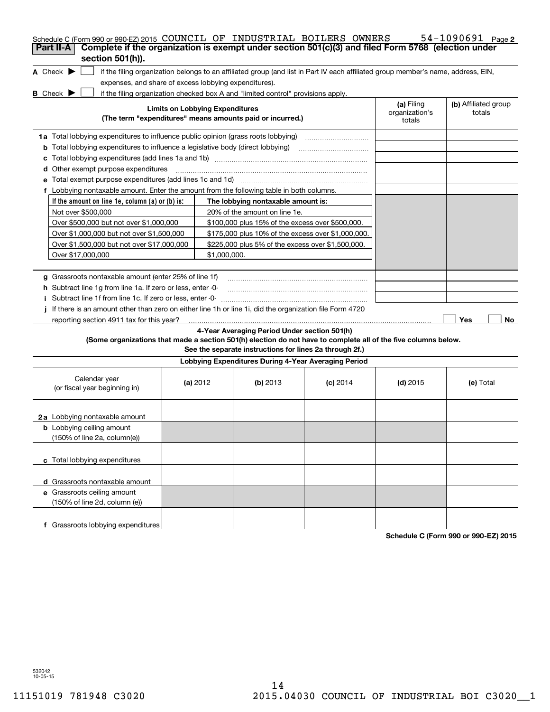| Schedule C (Form 990 or 990-EZ) 2015 COUNCIL OF INDUSTRIAL BOILERS OWNERS<br>Complete if the organization is exempt under section 501(c)(3) and filed Form 5768 (election under<br>Part II-A<br>section 501(h)). |                                                                                        |                                                           |                                                                                                                                   |                                        | $54 - 1090691$ Page 2          |  |  |  |  |  |
|------------------------------------------------------------------------------------------------------------------------------------------------------------------------------------------------------------------|----------------------------------------------------------------------------------------|-----------------------------------------------------------|-----------------------------------------------------------------------------------------------------------------------------------|----------------------------------------|--------------------------------|--|--|--|--|--|
| A Check $\blacktriangleright$<br>expenses, and share of excess lobbying expenditures).                                                                                                                           |                                                                                        |                                                           | if the filing organization belongs to an affiliated group (and list in Part IV each affiliated group member's name, address, EIN, |                                        |                                |  |  |  |  |  |
| <b>B</b> Check <b>D</b><br>if the filing organization checked box A and "limited control" provisions apply.                                                                                                      |                                                                                        |                                                           |                                                                                                                                   |                                        |                                |  |  |  |  |  |
|                                                                                                                                                                                                                  | <b>Limits on Lobbying Expenditures</b>                                                 | (The term "expenditures" means amounts paid or incurred.) |                                                                                                                                   | (a) Filing<br>organization's<br>totals | (b) Affiliated group<br>totals |  |  |  |  |  |
| 1a Total lobbying expenditures to influence public opinion (grass roots lobbying)                                                                                                                                |                                                                                        |                                                           |                                                                                                                                   |                                        |                                |  |  |  |  |  |
|                                                                                                                                                                                                                  | <b>b</b> Total lobbying expenditures to influence a legislative body (direct lobbying) |                                                           |                                                                                                                                   |                                        |                                |  |  |  |  |  |
| с                                                                                                                                                                                                                |                                                                                        |                                                           |                                                                                                                                   |                                        |                                |  |  |  |  |  |
| Other exempt purpose expenditures<br>d                                                                                                                                                                           |                                                                                        |                                                           |                                                                                                                                   |                                        |                                |  |  |  |  |  |
|                                                                                                                                                                                                                  |                                                                                        |                                                           |                                                                                                                                   |                                        |                                |  |  |  |  |  |
| f Lobbying nontaxable amount. Enter the amount from the following table in both columns.                                                                                                                         |                                                                                        |                                                           |                                                                                                                                   |                                        |                                |  |  |  |  |  |
| If the amount on line 1e, column (a) or (b) is:                                                                                                                                                                  |                                                                                        | The lobbying nontaxable amount is:                        |                                                                                                                                   |                                        |                                |  |  |  |  |  |
| Not over \$500,000                                                                                                                                                                                               |                                                                                        | 20% of the amount on line 1e.                             |                                                                                                                                   |                                        |                                |  |  |  |  |  |
| Over \$500,000 but not over \$1,000,000                                                                                                                                                                          |                                                                                        | \$100,000 plus 15% of the excess over \$500,000.          |                                                                                                                                   |                                        |                                |  |  |  |  |  |
| Over \$1,000,000 but not over \$1,500,000                                                                                                                                                                        |                                                                                        | \$175,000 plus 10% of the excess over \$1,000,000.        |                                                                                                                                   |                                        |                                |  |  |  |  |  |
| Over \$1,500,000 but not over \$17,000,000                                                                                                                                                                       | \$225,000 plus 5% of the excess over \$1,500,000.                                      |                                                           |                                                                                                                                   |                                        |                                |  |  |  |  |  |
| Over \$17,000,000                                                                                                                                                                                                |                                                                                        |                                                           |                                                                                                                                   |                                        |                                |  |  |  |  |  |
|                                                                                                                                                                                                                  | \$1,000,000.                                                                           |                                                           |                                                                                                                                   |                                        |                                |  |  |  |  |  |
| g Grassroots nontaxable amount (enter 25% of line 1f)                                                                                                                                                            |                                                                                        |                                                           |                                                                                                                                   |                                        |                                |  |  |  |  |  |
| h Subtract line 1q from line 1a. If zero or less, enter -0-                                                                                                                                                      |                                                                                        |                                                           |                                                                                                                                   |                                        |                                |  |  |  |  |  |
| i Subtract line 1f from line 1c. If zero or less, enter 0                                                                                                                                                        |                                                                                        |                                                           |                                                                                                                                   |                                        |                                |  |  |  |  |  |
| If there is an amount other than zero on either line 1h or line 1i, did the organization file Form 4720                                                                                                          |                                                                                        |                                                           |                                                                                                                                   |                                        |                                |  |  |  |  |  |
| reporting section 4911 tax for this year?                                                                                                                                                                        |                                                                                        |                                                           |                                                                                                                                   |                                        | Yes<br>No                      |  |  |  |  |  |
|                                                                                                                                                                                                                  |                                                                                        | 4-Year Averaging Period Under section 501(h)              |                                                                                                                                   |                                        |                                |  |  |  |  |  |
| (Some organizations that made a section 501(h) election do not have to complete all of the five columns below.                                                                                                   |                                                                                        | See the separate instructions for lines 2a through 2f.)   |                                                                                                                                   |                                        |                                |  |  |  |  |  |
|                                                                                                                                                                                                                  |                                                                                        | Lobbying Expenditures During 4-Year Averaging Period      |                                                                                                                                   |                                        |                                |  |  |  |  |  |
| Calendar year<br>(or fiscal year beginning in)                                                                                                                                                                   | (a) $2012$                                                                             | $(b)$ 2013                                                | $(c)$ 2014                                                                                                                        | (d) $2015$                             | (e) Total                      |  |  |  |  |  |
| 2a Lobbying nontaxable amount                                                                                                                                                                                    |                                                                                        |                                                           |                                                                                                                                   |                                        |                                |  |  |  |  |  |
| <b>b</b> Lobbying ceiling amount<br>(150% of line 2a, column(e))                                                                                                                                                 |                                                                                        |                                                           |                                                                                                                                   |                                        |                                |  |  |  |  |  |
|                                                                                                                                                                                                                  |                                                                                        |                                                           |                                                                                                                                   |                                        |                                |  |  |  |  |  |
| c Total lobbying expenditures                                                                                                                                                                                    |                                                                                        |                                                           |                                                                                                                                   |                                        |                                |  |  |  |  |  |
| d Grassroots nontaxable amount                                                                                                                                                                                   |                                                                                        |                                                           |                                                                                                                                   |                                        |                                |  |  |  |  |  |
| e Grassroots ceiling amount                                                                                                                                                                                      |                                                                                        |                                                           |                                                                                                                                   |                                        |                                |  |  |  |  |  |
| (150% of line 2d, column (e))                                                                                                                                                                                    |                                                                                        |                                                           |                                                                                                                                   |                                        |                                |  |  |  |  |  |
| f Grassroots lobbying expenditures                                                                                                                                                                               |                                                                                        |                                                           |                                                                                                                                   |                                        |                                |  |  |  |  |  |

**Schedule C (Form 990 or 990-EZ) 2015**

532042 10-05-15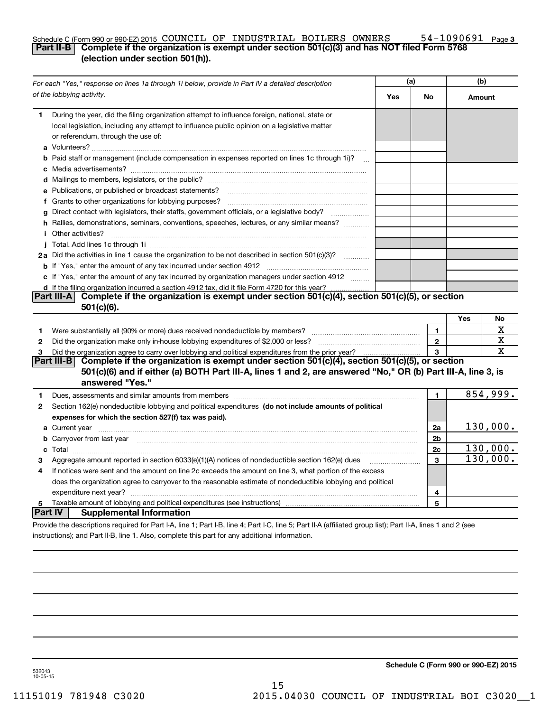#### **3** Schedule C (Form 990 or 990-EZ) 2015  $\,$  COUNCIL OF INDUSTRIAL BOILERS OWNERS  $\,$  54-1090691  $\,$  Page **Part II-B Complete if the organization is exempt under section 501(c)(3) and has NOT filed Form 5768 (election under section 501(h)).**

|              | For each "Yes," response on lines 1a through 1i below, provide in Part IV a detailed description                                                                                                                                    |     | (a)            |        | (b)      |  |
|--------------|-------------------------------------------------------------------------------------------------------------------------------------------------------------------------------------------------------------------------------------|-----|----------------|--------|----------|--|
|              | of the lobbying activity.                                                                                                                                                                                                           | Yes | No             | Amount |          |  |
| 1            | During the year, did the filing organization attempt to influence foreign, national, state or<br>local legislation, including any attempt to influence public opinion on a legislative matter<br>or referendum, through the use of: |     |                |        |          |  |
|              | <b>b</b> Paid staff or management (include compensation in expenses reported on lines 1c through 1i)?                                                                                                                               |     |                |        |          |  |
|              |                                                                                                                                                                                                                                     |     |                |        |          |  |
|              | e Publications, or published or broadcast statements?                                                                                                                                                                               |     |                |        |          |  |
|              |                                                                                                                                                                                                                                     |     |                |        |          |  |
| a            | Direct contact with legislators, their staffs, government officials, or a legislative body?                                                                                                                                         |     |                |        |          |  |
|              | h Rallies, demonstrations, seminars, conventions, speeches, lectures, or any similar means?<br><i>i</i> Other activities?                                                                                                           |     |                |        |          |  |
|              |                                                                                                                                                                                                                                     |     |                |        |          |  |
|              | 2a Did the activities in line 1 cause the organization to be not described in section 501(c)(3)?                                                                                                                                    |     |                |        |          |  |
|              | <b>b</b> If "Yes," enter the amount of any tax incurred under section 4912                                                                                                                                                          |     |                |        |          |  |
|              | c If "Yes," enter the amount of any tax incurred by organization managers under section 4912                                                                                                                                        |     |                |        |          |  |
|              | d If the filing organization incurred a section 4912 tax, did it file Form 4720 for this year?                                                                                                                                      |     |                |        |          |  |
|              | Complete if the organization is exempt under section 501(c)(4), section 501(c)(5), or section<br> Part III-A <br>$501(c)(6)$ .                                                                                                      |     |                |        |          |  |
|              |                                                                                                                                                                                                                                     |     |                | Yes    | No       |  |
| 1            | Were substantially all (90% or more) dues received nondeductible by members?                                                                                                                                                        |     | $\mathbf{1}$   |        | х        |  |
| $\mathbf{2}$ |                                                                                                                                                                                                                                     |     | $\mathbf 2$    |        | х        |  |
| 3            | Did the organization agree to carry over lobbying and political expenditures from the prior year?                                                                                                                                   |     | 3              |        | X        |  |
|              | Complete if the organization is exempt under section 501(c)(4), section 501(c)(5), or section<br> Part III-B                                                                                                                        |     |                |        |          |  |
|              | 501(c)(6) and if either (a) BOTH Part III-A, lines 1 and 2, are answered "No," OR (b) Part III-A, line 3, is<br>answered "Yes."                                                                                                     |     |                |        |          |  |
| 1            | Dues, assessments and similar amounts from members [111] www.communicallyness.communicallyness.communicallyness.communicallyness.communicallyness.communicallyness.communicallyness.communicallyness.communicallyness.communic      |     | 1              |        | 854,999. |  |
| $\mathbf{2}$ | Section 162(e) nondeductible lobbying and political expenditures (do not include amounts of political                                                                                                                               |     |                |        |          |  |
|              | expenses for which the section 527(f) tax was paid).                                                                                                                                                                                |     |                |        |          |  |
|              |                                                                                                                                                                                                                                     |     | 2a             |        | 130,000. |  |
|              | <b>b</b> Carryover from last year manufactured and contain the contract of the contract of the contract of the contract of the contract of the contract of the contract of the contract of the contract of the contract of the cont |     | 2 <sub>b</sub> |        |          |  |
|              |                                                                                                                                                                                                                                     |     | 2c             |        | 130,000. |  |
| з            | Aggregate amount reported in section 6033(e)(1)(A) notices of nondeductible section 162(e) dues                                                                                                                                     |     | 3              |        | 130,000. |  |
| 4            | If notices were sent and the amount on line 2c exceeds the amount on line 3, what portion of the excess                                                                                                                             |     |                |        |          |  |
|              | does the organization agree to carryover to the reasonable estimate of nondeductible lobbying and political                                                                                                                         |     |                |        |          |  |
|              |                                                                                                                                                                                                                                     |     | 4              |        |          |  |
| 5            |                                                                                                                                                                                                                                     |     | 5              |        |          |  |
| Part IV      | <b>Supplemental Information</b>                                                                                                                                                                                                     |     |                |        |          |  |
|              | Provide the descriptions required for Part I-A, line 1; Part I-B, line 4; Part I-C, line 5; Part II-A (affiliated group list); Part II-A, lines 1 and 2 (see                                                                        |     |                |        |          |  |
|              | instructions); and Part II-B, line 1. Also, complete this part for any additional information.                                                                                                                                      |     |                |        |          |  |

**Schedule C (Form 990 or 990-EZ) 2015**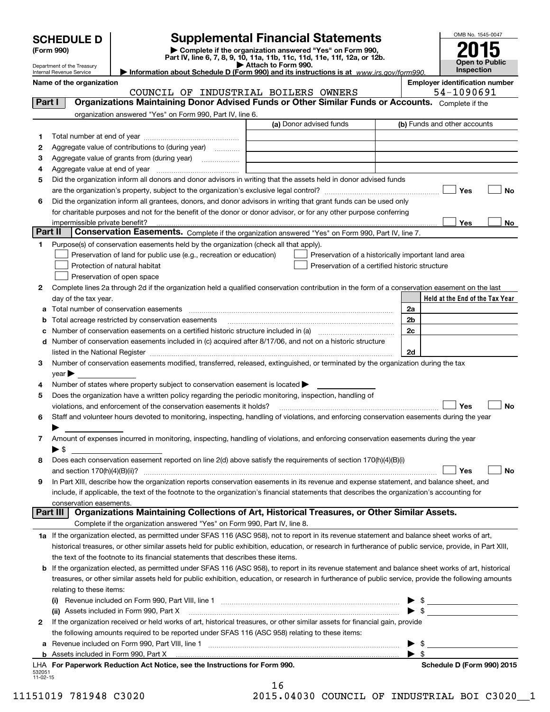| <b>SCHEDULE D</b><br>(Form 990)<br>Department of the Treasury<br>Internal Revenue Service | <b>Supplemental Financial Statements</b><br>Complete if the organization answered "Yes" on Form 990,<br>Part IV, line 6, 7, 8, 9, 10, 11a, 11b, 11c, 11d, 11e, 11f, 12a, or 12b.<br>Information about Schedule D (Form 990) and its instructions is at www.irs.gov/form990.                                                                                 | OMB No. 1545-0047<br><b>Open to Public</b><br>Inspection |  |                                                     |
|-------------------------------------------------------------------------------------------|-------------------------------------------------------------------------------------------------------------------------------------------------------------------------------------------------------------------------------------------------------------------------------------------------------------------------------------------------------------|----------------------------------------------------------|--|-----------------------------------------------------|
| Name of the organization                                                                  | COUNCIL OF INDUSTRIAL BOILERS OWNERS                                                                                                                                                                                                                                                                                                                        |                                                          |  | <b>Employer identification number</b><br>54-1090691 |
| <b>Part</b> I                                                                             | Organizations Maintaining Donor Advised Funds or Other Similar Funds or Accounts.<br>organization answered "Yes" on Form 990, Part IV, line 6.                                                                                                                                                                                                              | (a) Donor advised funds                                  |  | Complete if the<br>(b) Funds and other accounts     |
| 2<br>3<br>Aggregate value at end of year<br>4                                             | Aggregate value of contributions to (during year)<br>.<br>Aggregate value of grants from (during year)<br>.                                                                                                                                                                                                                                                 |                                                          |  |                                                     |
| 5<br>6                                                                                    | Did the organization inform all donors and donor advisors in writing that the assets held in donor advised funds<br>Did the organization inform all grantees, donors, and donor advisors in writing that grant funds can be used only<br>for charitable purposes and not for the benefit of the donor or donor advisor, or for any other purpose conferring |                                                          |  | Yes<br>No                                           |

|         | ior chantable purposes and not for the benefit of the donor or donor advisor, or for any other purpose comenin                                             |                |                                 |    |
|---------|------------------------------------------------------------------------------------------------------------------------------------------------------------|----------------|---------------------------------|----|
|         | impermissible private benefit?                                                                                                                             |                | Yes                             | No |
| Part II | Conservation Easements. Complete if the organization answered "Yes" on Form 990, Part IV, line 7.                                                          |                |                                 |    |
| 1       | Purpose(s) of conservation easements held by the organization (check all that apply).                                                                      |                |                                 |    |
|         | Preservation of land for public use (e.g., recreation or education)<br>Preservation of a historically important land area                                  |                |                                 |    |
|         | Protection of natural habitat<br>Preservation of a certified historic structure                                                                            |                |                                 |    |
|         | Preservation of open space                                                                                                                                 |                |                                 |    |
| 2       | Complete lines 2a through 2d if the organization held a qualified conservation contribution in the form of a conservation easement on the last             |                |                                 |    |
|         | day of the tax year.                                                                                                                                       |                | Held at the End of the Tax Year |    |
|         | a Total number of conservation easements                                                                                                                   | 2a             |                                 |    |
|         | Total acreage restricted by conservation easements                                                                                                         | 2 <sub>b</sub> |                                 |    |
| с       | Number of conservation easements on a certified historic structure included in (a) manufacture of conservation                                             | 2c             |                                 |    |
| d       | Number of conservation easements included in (c) acquired after 8/17/06, and not on a historic structure                                                   |                |                                 |    |
|         | listed in the National Register                                                                                                                            | 2d             |                                 |    |
| 3       | Number of conservation easements modified, transferred, released, extinguished, or terminated by the organization during the tax                           |                |                                 |    |
|         | year                                                                                                                                                       |                |                                 |    |
| 4       | Number of states where property subject to conservation easement is located                                                                                |                |                                 |    |
| 5       | Does the organization have a written policy regarding the periodic monitoring, inspection, handling of                                                     |                |                                 |    |
|         | violations, and enforcement of the conservation easements it holds?                                                                                        |                | Yes                             | No |
| 6       | Staff and volunteer hours devoted to monitoring, inspecting, handling of violations, and enforcing conservation easements during the year                  |                |                                 |    |
|         |                                                                                                                                                            |                |                                 |    |
| 7       | Amount of expenses incurred in monitoring, inspecting, handling of violations, and enforcing conservation easements during the year                        |                |                                 |    |
|         | $\blacktriangleright$ \$                                                                                                                                   |                |                                 |    |
| 8       | Does each conservation easement reported on line 2(d) above satisfy the requirements of section 170(h)(4)(B)(i)                                            |                |                                 |    |
|         | and section $170(h)(4)(B)(ii)?$                                                                                                                            |                | Yes                             | No |
| 9       | In Part XIII, describe how the organization reports conservation easements in its revenue and expense statement, and balance sheet, and                    |                |                                 |    |
|         | include, if applicable, the text of the footnote to the organization's financial statements that describes the organization's accounting for               |                |                                 |    |
|         | conservation easements.                                                                                                                                    |                |                                 |    |
|         | Organizations Maintaining Collections of Art, Historical Treasures, or Other Similar Assets.<br>Part III                                                   |                |                                 |    |
|         | Complete if the organization answered "Yes" on Form 990, Part IV, line 8.                                                                                  |                |                                 |    |
|         | 1a If the organization elected, as permitted under SFAS 116 (ASC 958), not to report in its revenue statement and balance sheet works of art,              |                |                                 |    |
|         | historical treasures, or other similar assets held for public exhibition, education, or research in furtherance of public service, provide, in Part XIII,  |                |                                 |    |
|         | the text of the footnote to its financial statements that describes these items.                                                                           |                |                                 |    |
|         | <b>b</b> If the organization elected, as permitted under SFAS 116 (ASC 958), to report in its revenue statement and balance sheet works of art, historical |                |                                 |    |
|         | treasures, or other similar assets held for public exhibition, education, or research in furtherance of public service, provide the following amounts      |                |                                 |    |

| 532051<br>$11-02-15$ | LHA For Paperwork Reduction Act Notice, see the Instructions for Form 990.                                                   | Schedule D (Form 990) 2015 |
|----------------------|------------------------------------------------------------------------------------------------------------------------------|----------------------------|
|                      |                                                                                                                              |                            |
|                      | a Revenue included on Form 990, Part VIII, line 1                                                                            |                            |
|                      | the following amounts required to be reported under SFAS 116 (ASC 958) relating to these items:                              |                            |
| 2                    | If the organization received or held works of art, historical treasures, or other similar assets for financial gain, provide |                            |
|                      | (ii) Assets included in Form 990, Part X                                                                                     |                            |
|                      | Revenue included on Form 990, Part VIII, line 1<br>(i)                                                                       |                            |
|                      | relating to these items:                                                                                                     |                            |

16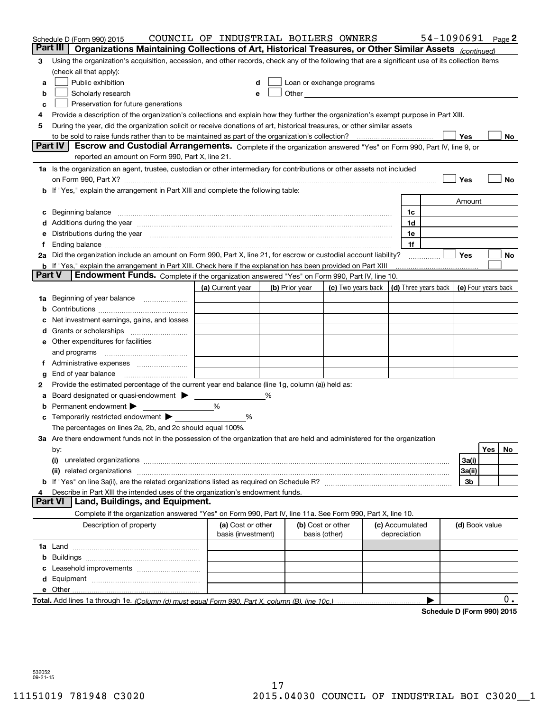|        | Schedule D (Form 990) 2015                                                                                                                                                            | COUNCIL OF INDUSTRIAL BOILERS OWNERS |   |                |                                                                                                                                                                                                                               |            |                 | 54-1090691 Page 2          |                     |            |     |
|--------|---------------------------------------------------------------------------------------------------------------------------------------------------------------------------------------|--------------------------------------|---|----------------|-------------------------------------------------------------------------------------------------------------------------------------------------------------------------------------------------------------------------------|------------|-----------------|----------------------------|---------------------|------------|-----|
|        | Part III<br>Organizations Maintaining Collections of Art, Historical Treasures, or Other Similar Assets (continued)                                                                   |                                      |   |                |                                                                                                                                                                                                                               |            |                 |                            |                     |            |     |
| 3      | Using the organization's acquisition, accession, and other records, check any of the following that are a significant use of its collection items                                     |                                      |   |                |                                                                                                                                                                                                                               |            |                 |                            |                     |            |     |
|        | (check all that apply):                                                                                                                                                               |                                      |   |                |                                                                                                                                                                                                                               |            |                 |                            |                     |            |     |
| a      | Public exhibition                                                                                                                                                                     |                                      |   |                | Loan or exchange programs                                                                                                                                                                                                     |            |                 |                            |                     |            |     |
| b      | Scholarly research                                                                                                                                                                    |                                      |   |                | Other and the contract of the contract of the contract of the contract of the contract of the contract of the contract of the contract of the contract of the contract of the contract of the contract of the contract of the |            |                 |                            |                     |            |     |
| с      | Preservation for future generations                                                                                                                                                   |                                      |   |                |                                                                                                                                                                                                                               |            |                 |                            |                     |            |     |
| 4      | Provide a description of the organization's collections and explain how they further the organization's exempt purpose in Part XIII.                                                  |                                      |   |                |                                                                                                                                                                                                                               |            |                 |                            |                     |            |     |
| 5      | During the year, did the organization solicit or receive donations of art, historical treasures, or other similar assets                                                              |                                      |   |                |                                                                                                                                                                                                                               |            |                 |                            |                     |            |     |
|        | to be sold to raise funds rather than to be maintained as part of the organization's collection?                                                                                      |                                      |   |                |                                                                                                                                                                                                                               | . <u>.</u> |                 |                            | Yes                 |            | No  |
|        | Escrow and Custodial Arrangements. Complete if the organization answered "Yes" on Form 990, Part IV, line 9, or<br><b>Part IV</b><br>reported an amount on Form 990, Part X, line 21. |                                      |   |                |                                                                                                                                                                                                                               |            |                 |                            |                     |            |     |
|        | 1a Is the organization an agent, trustee, custodian or other intermediary for contributions or other assets not included                                                              |                                      |   |                |                                                                                                                                                                                                                               |            |                 |                            |                     |            |     |
|        | on Form 990, Part X? [11] matter contracts and contracts and contracts are contracted as a form 990, Part X?                                                                          |                                      |   |                |                                                                                                                                                                                                                               |            |                 |                            | Yes                 |            | No  |
|        | <b>b</b> If "Yes," explain the arrangement in Part XIII and complete the following table:                                                                                             |                                      |   |                |                                                                                                                                                                                                                               |            |                 |                            |                     |            |     |
|        |                                                                                                                                                                                       |                                      |   |                |                                                                                                                                                                                                                               |            |                 |                            | Amount              |            |     |
| c      | Beginning balance <u>www.maren.communication.communication.communication.communication.com</u>                                                                                        |                                      |   |                |                                                                                                                                                                                                                               |            | 1c              |                            |                     |            |     |
|        | d Additions during the year measurements are all an according to the year.                                                                                                            |                                      |   |                |                                                                                                                                                                                                                               |            | 1d              |                            |                     |            |     |
|        | e Distributions during the year manufactured and an according to the year manufactured and the year manufactur                                                                        |                                      |   |                |                                                                                                                                                                                                                               |            | 1e              |                            |                     |            |     |
|        |                                                                                                                                                                                       |                                      |   |                |                                                                                                                                                                                                                               |            | 1f              |                            |                     |            |     |
|        | 2a Did the organization include an amount on Form 990, Part X, line 21, for escrow or custodial account liability?                                                                    |                                      |   |                |                                                                                                                                                                                                                               |            |                 | .                          | Yes                 |            | No  |
|        | <b>b</b> If "Yes," explain the arrangement in Part XIII. Check here if the explanation has been provided on Part XIII                                                                 |                                      |   |                |                                                                                                                                                                                                                               |            |                 |                            |                     |            |     |
| Part V | Endowment Funds. Complete if the organization answered "Yes" on Form 990, Part IV, line 10.                                                                                           |                                      |   |                |                                                                                                                                                                                                                               |            |                 |                            |                     |            |     |
|        |                                                                                                                                                                                       | (a) Current year                     |   | (b) Prior year | (c) Two years back $\vert$ (d) Three years back $\vert$                                                                                                                                                                       |            |                 |                            | (e) Four years back |            |     |
|        | 1a Beginning of year balance                                                                                                                                                          |                                      |   |                |                                                                                                                                                                                                                               |            |                 |                            |                     |            |     |
| b      |                                                                                                                                                                                       |                                      |   |                |                                                                                                                                                                                                                               |            |                 |                            |                     |            |     |
|        | Net investment earnings, gains, and losses                                                                                                                                            |                                      |   |                |                                                                                                                                                                                                                               |            |                 |                            |                     |            |     |
|        |                                                                                                                                                                                       |                                      |   |                |                                                                                                                                                                                                                               |            |                 |                            |                     |            |     |
|        | e Other expenditures for facilities                                                                                                                                                   |                                      |   |                |                                                                                                                                                                                                                               |            |                 |                            |                     |            |     |
|        |                                                                                                                                                                                       |                                      |   |                |                                                                                                                                                                                                                               |            |                 |                            |                     |            |     |
|        | and programs                                                                                                                                                                          |                                      |   |                |                                                                                                                                                                                                                               |            |                 |                            |                     |            |     |
|        | f Administrative expenses                                                                                                                                                             |                                      |   |                |                                                                                                                                                                                                                               |            |                 |                            |                     |            |     |
| g      | End of year balance                                                                                                                                                                   |                                      |   |                |                                                                                                                                                                                                                               |            |                 |                            |                     |            |     |
| 2      | Provide the estimated percentage of the current year end balance (line 1g, column (a)) held as:                                                                                       |                                      |   |                |                                                                                                                                                                                                                               |            |                 |                            |                     |            |     |
| а      | Board designated or quasi-endowment                                                                                                                                                   |                                      | % |                |                                                                                                                                                                                                                               |            |                 |                            |                     |            |     |
| b      | Permanent endowment                                                                                                                                                                   | %                                    |   |                |                                                                                                                                                                                                                               |            |                 |                            |                     |            |     |
| c      | Temporarily restricted endowment $\blacktriangleright$                                                                                                                                | %                                    |   |                |                                                                                                                                                                                                                               |            |                 |                            |                     |            |     |
|        | The percentages on lines 2a, 2b, and 2c should equal 100%.                                                                                                                            |                                      |   |                |                                                                                                                                                                                                                               |            |                 |                            |                     |            |     |
|        | 3a Are there endowment funds not in the possession of the organization that are held and administered for the organization                                                            |                                      |   |                |                                                                                                                                                                                                                               |            |                 |                            |                     |            |     |
|        | by:                                                                                                                                                                                   |                                      |   |                |                                                                                                                                                                                                                               |            |                 |                            |                     | <b>Yes</b> | No. |
|        | (i)                                                                                                                                                                                   |                                      |   |                |                                                                                                                                                                                                                               |            |                 |                            | 3a(i)               |            |     |
|        |                                                                                                                                                                                       |                                      |   |                |                                                                                                                                                                                                                               |            |                 |                            | 3a(ii)              |            |     |
|        |                                                                                                                                                                                       |                                      |   |                |                                                                                                                                                                                                                               |            |                 |                            | 3b                  |            |     |
|        | Describe in Part XIII the intended uses of the organization's endowment funds.<br>Part VI<br>Land, Buildings, and Equipment.                                                          |                                      |   |                |                                                                                                                                                                                                                               |            |                 |                            |                     |            |     |
|        |                                                                                                                                                                                       |                                      |   |                |                                                                                                                                                                                                                               |            |                 |                            |                     |            |     |
|        | Complete if the organization answered "Yes" on Form 990, Part IV, line 11a. See Form 990, Part X, line 10.                                                                            |                                      |   |                |                                                                                                                                                                                                                               |            |                 |                            |                     |            |     |
|        | Description of property                                                                                                                                                               | (a) Cost or other                    |   |                | (b) Cost or other                                                                                                                                                                                                             |            | (c) Accumulated |                            | (d) Book value      |            |     |
|        |                                                                                                                                                                                       | basis (investment)                   |   |                | basis (other)                                                                                                                                                                                                                 |            | depreciation    |                            |                     |            |     |
|        |                                                                                                                                                                                       |                                      |   |                |                                                                                                                                                                                                                               |            |                 |                            |                     |            |     |
| b      |                                                                                                                                                                                       |                                      |   |                |                                                                                                                                                                                                                               |            |                 |                            |                     |            |     |
|        |                                                                                                                                                                                       |                                      |   |                |                                                                                                                                                                                                                               |            |                 |                            |                     |            |     |
|        |                                                                                                                                                                                       |                                      |   |                |                                                                                                                                                                                                                               |            |                 |                            |                     |            |     |
|        |                                                                                                                                                                                       |                                      |   |                |                                                                                                                                                                                                                               |            |                 |                            |                     |            |     |
|        |                                                                                                                                                                                       |                                      |   |                |                                                                                                                                                                                                                               |            |                 |                            |                     |            | 0.  |
|        |                                                                                                                                                                                       |                                      |   |                |                                                                                                                                                                                                                               |            |                 | Schedule D (Form 990) 2015 |                     |            |     |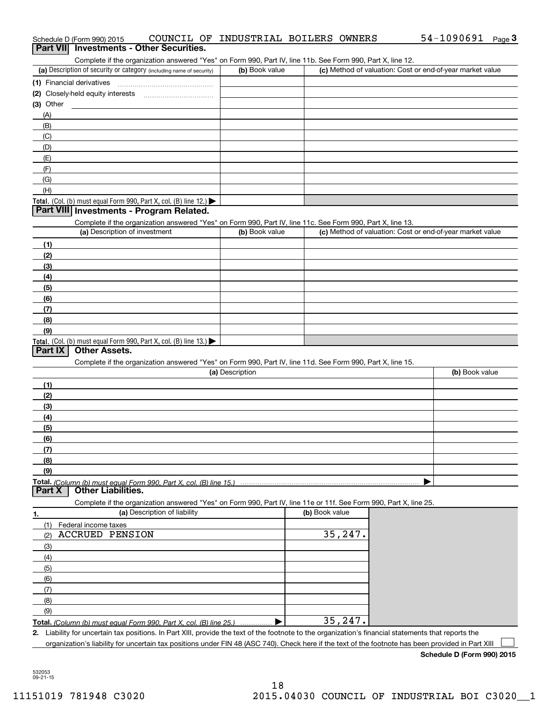| Schedule D (Form 990) 2015<br><b>Part VIII</b><br><b>Investments - Other Securities.</b>                                                                |                 | COUNCIL OF INDUSTRIAL BOILERS OWNERS | 54-1090691<br>$_{\text{Page}}$ 3                          |
|---------------------------------------------------------------------------------------------------------------------------------------------------------|-----------------|--------------------------------------|-----------------------------------------------------------|
| Complete if the organization answered "Yes" on Form 990, Part IV, line 11b. See Form 990, Part X, line 12.                                              |                 |                                      |                                                           |
| (a) Description of security or category (including name of security)                                                                                    | (b) Book value  |                                      | (c) Method of valuation: Cost or end-of-year market value |
|                                                                                                                                                         |                 |                                      |                                                           |
|                                                                                                                                                         |                 |                                      |                                                           |
| (3) Other                                                                                                                                               |                 |                                      |                                                           |
| (A)                                                                                                                                                     |                 |                                      |                                                           |
| (B)                                                                                                                                                     |                 |                                      |                                                           |
| (C)                                                                                                                                                     |                 |                                      |                                                           |
| (D)                                                                                                                                                     |                 |                                      |                                                           |
| (E)                                                                                                                                                     |                 |                                      |                                                           |
| (F)                                                                                                                                                     |                 |                                      |                                                           |
| (G)                                                                                                                                                     |                 |                                      |                                                           |
| (H)                                                                                                                                                     |                 |                                      |                                                           |
| Total. (Col. (b) must equal Form 990, Part X, col. (B) line 12.)                                                                                        |                 |                                      |                                                           |
| Part VIII Investments - Program Related.                                                                                                                |                 |                                      |                                                           |
| Complete if the organization answered "Yes" on Form 990, Part IV, line 11c. See Form 990, Part X, line 13.                                              |                 |                                      |                                                           |
| (a) Description of investment                                                                                                                           | (b) Book value  |                                      | (c) Method of valuation: Cost or end-of-year market value |
| (1)                                                                                                                                                     |                 |                                      |                                                           |
| (2)                                                                                                                                                     |                 |                                      |                                                           |
| (3)                                                                                                                                                     |                 |                                      |                                                           |
| (4)                                                                                                                                                     |                 |                                      |                                                           |
| (5)                                                                                                                                                     |                 |                                      |                                                           |
| (6)                                                                                                                                                     |                 |                                      |                                                           |
| (7)                                                                                                                                                     |                 |                                      |                                                           |
| (8)                                                                                                                                                     |                 |                                      |                                                           |
| (9)                                                                                                                                                     |                 |                                      |                                                           |
| <b>Total.</b> (Col. (b) must equal Form 990, Part X, col. (B) line 13.)<br><b>Other Assets.</b><br>Part IX                                              |                 |                                      |                                                           |
| Complete if the organization answered "Yes" on Form 990, Part IV, line 11d. See Form 990, Part X, line 15.                                              |                 |                                      |                                                           |
|                                                                                                                                                         | (a) Description |                                      | (b) Book value                                            |
| (1)                                                                                                                                                     |                 |                                      |                                                           |
| (2)                                                                                                                                                     |                 |                                      |                                                           |
| (3)                                                                                                                                                     |                 |                                      |                                                           |
| (4)                                                                                                                                                     |                 |                                      |                                                           |
| (5)                                                                                                                                                     |                 |                                      |                                                           |
| (6)                                                                                                                                                     |                 |                                      |                                                           |
| (7)                                                                                                                                                     |                 |                                      |                                                           |
| (8)                                                                                                                                                     |                 |                                      |                                                           |
| (9)                                                                                                                                                     |                 |                                      |                                                           |
| <b>Part X</b><br><b>Other Liabilities.</b>                                                                                                              |                 |                                      |                                                           |
| Complete if the organization answered "Yes" on Form 990, Part IV, line 11e or 11f. See Form 990, Part X, line 25.                                       |                 |                                      |                                                           |
| (a) Description of liability<br>1.                                                                                                                      |                 | (b) Book value                       |                                                           |
| (1)<br>Federal income taxes                                                                                                                             |                 |                                      |                                                           |
| <b>ACCRUED PENSION</b><br>(2)                                                                                                                           |                 | 35, 247.                             |                                                           |
| (3)                                                                                                                                                     |                 |                                      |                                                           |
| (4)                                                                                                                                                     |                 |                                      |                                                           |
| (5)                                                                                                                                                     |                 |                                      |                                                           |
| (6)                                                                                                                                                     |                 |                                      |                                                           |
| (7)                                                                                                                                                     |                 |                                      |                                                           |
| (8)                                                                                                                                                     |                 |                                      |                                                           |
| (9)                                                                                                                                                     |                 |                                      |                                                           |
| Total. (Column (b) must equal Form 990. Part X, col. (B) line 25.)  ▶                                                                                   |                 | 35,247.                              |                                                           |
| Liability for uncertain tax positions. In Part XIII, provide the text of the footnote to the organization's financial statements that reports the<br>2. |                 |                                      |                                                           |
| organization's liability for uncertain tax positions under FIN 48 (ASC 740). Check here if the text of the footnote has been provided in Part XIII      |                 |                                      |                                                           |

54-1090691 Page 3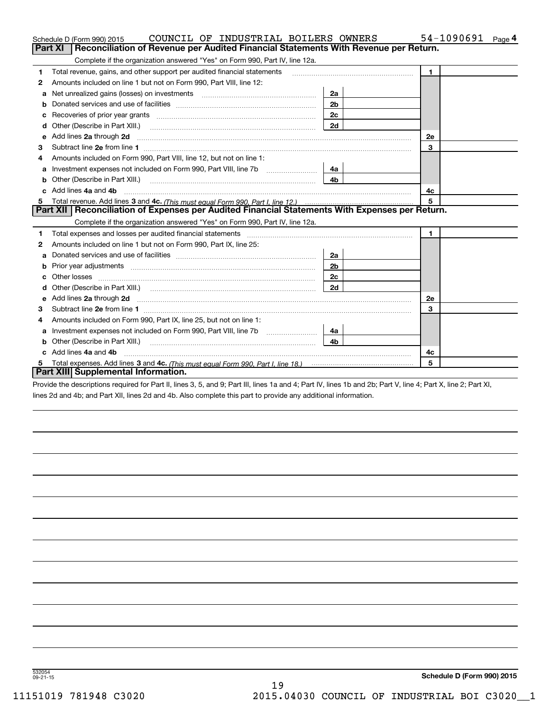|    | COUNCIL OF INDUSTRIAL BOILERS OWNERS<br>Schedule D (Form 990) 2015                                                       |                | 54-1090691<br>Page $4$ |
|----|--------------------------------------------------------------------------------------------------------------------------|----------------|------------------------|
|    | Reconciliation of Revenue per Audited Financial Statements With Revenue per Return.<br>Part XI                           |                |                        |
|    | Complete if the organization answered "Yes" on Form 990, Part IV, line 12a.                                              |                |                        |
| 1  | Total revenue, gains, and other support per audited financial statements                                                 |                | $\blacksquare$         |
| 2  | Amounts included on line 1 but not on Form 990, Part VIII, line 12:                                                      |                |                        |
| a  |                                                                                                                          | 2a             |                        |
|    |                                                                                                                          | 2 <sub>b</sub> |                        |
|    |                                                                                                                          | 2c             |                        |
| d  |                                                                                                                          | 2d             |                        |
| е  | Add lines 2a through 2d                                                                                                  |                | 2e                     |
| з  |                                                                                                                          |                | 3                      |
| 4  | Amounts included on Form 990, Part VIII, line 12, but not on line 1:                                                     |                |                        |
|    | Investment expenses not included on Form 990, Part VIII, line 7b [11, 111]                                               | 4а             |                        |
|    |                                                                                                                          | 4 <sub>b</sub> |                        |
| C. | Add lines 4a and 4b                                                                                                      |                | 4с                     |
|    |                                                                                                                          |                | 5                      |
|    | Part XII   Reconciliation of Expenses per Audited Financial Statements With Expenses per Return.                         |                |                        |
|    | Complete if the organization answered "Yes" on Form 990, Part IV, line 12a.                                              |                |                        |
| 1  |                                                                                                                          |                | $\mathbf{1}$           |
| 2  | Amounts included on line 1 but not on Form 990, Part IX, line 25:                                                        |                |                        |
| a  |                                                                                                                          | 2a             |                        |
|    |                                                                                                                          | 2 <sub>b</sub> |                        |
|    |                                                                                                                          | 2с             |                        |
| d  |                                                                                                                          | 2d             |                        |
| е  | Add lines 2a through 2d <b>must be a constructed as the constant of the constant of the constant of the construction</b> |                | 2e                     |
| 3  |                                                                                                                          |                | 3                      |
| 4  | Amounts included on Form 990, Part IX, line 25, but not on line 1:                                                       |                |                        |
| а  |                                                                                                                          | 4a l           |                        |
| b  |                                                                                                                          | 4b             |                        |
|    | Add lines 4a and 4b                                                                                                      |                | 4c                     |
|    |                                                                                                                          |                | 5                      |
|    | Part XIII Supplemental Information.                                                                                      |                |                        |

Provide the descriptions required for Part II, lines 3, 5, and 9; Part III, lines 1a and 4; Part IV, lines 1b and 2b; Part V, line 4; Part X, line 2; Part XI, lines 2d and 4b; and Part XII, lines 2d and 4b. Also complete this part to provide any additional information.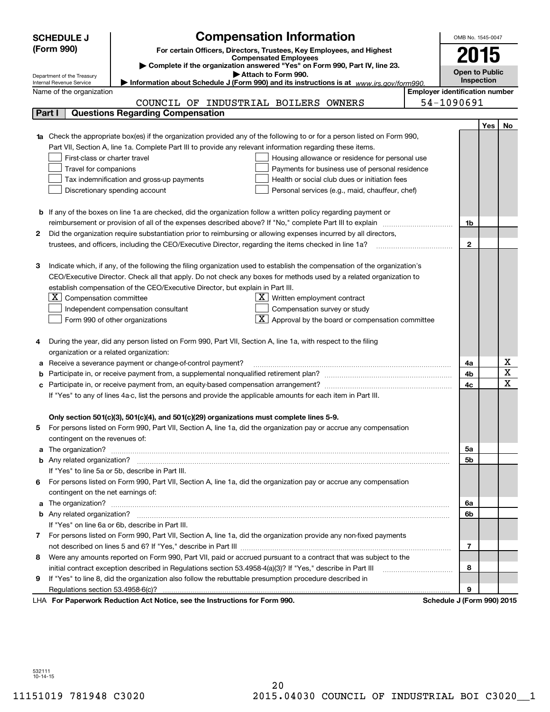|   | <b>Compensation Information</b><br><b>SCHEDULE J</b>                                                                                                                     |                                       | OMB No. 1545-0047     |            |                         |  |  |
|---|--------------------------------------------------------------------------------------------------------------------------------------------------------------------------|---------------------------------------|-----------------------|------------|-------------------------|--|--|
|   | (Form 990)<br>For certain Officers, Directors, Trustees, Key Employees, and Highest                                                                                      |                                       |                       |            |                         |  |  |
|   | <b>Compensated Employees</b>                                                                                                                                             |                                       |                       | 2015       |                         |  |  |
|   | Complete if the organization answered "Yes" on Form 990, Part IV, line 23.                                                                                               |                                       | <b>Open to Public</b> |            |                         |  |  |
|   | Attach to Form 990.<br>Department of the Treasury<br>Information about Schedule J (Form 990) and its instructions is at www.irs.gov/form990.<br>Internal Revenue Service |                                       | Inspection            |            |                         |  |  |
|   | Name of the organization                                                                                                                                                 | <b>Employer identification number</b> |                       |            |                         |  |  |
|   | COUNCIL OF INDUSTRIAL BOILERS OWNERS                                                                                                                                     |                                       | 54-1090691            |            |                         |  |  |
|   | <b>Questions Regarding Compensation</b><br>Part I                                                                                                                        |                                       |                       |            |                         |  |  |
|   |                                                                                                                                                                          |                                       |                       | <b>Yes</b> | No                      |  |  |
|   | <b>1a</b> Check the appropriate box(es) if the organization provided any of the following to or for a person listed on Form 990,                                         |                                       |                       |            |                         |  |  |
|   | Part VII, Section A, line 1a. Complete Part III to provide any relevant information regarding these items.                                                               |                                       |                       |            |                         |  |  |
|   | First-class or charter travel<br>Housing allowance or residence for personal use                                                                                         |                                       |                       |            |                         |  |  |
|   | Travel for companions<br>Payments for business use of personal residence                                                                                                 |                                       |                       |            |                         |  |  |
|   | Tax indemnification and gross-up payments<br>Health or social club dues or initiation fees                                                                               |                                       |                       |            |                         |  |  |
|   | Discretionary spending account<br>Personal services (e.g., maid, chauffeur, chef)                                                                                        |                                       |                       |            |                         |  |  |
|   |                                                                                                                                                                          |                                       |                       |            |                         |  |  |
|   | <b>b</b> If any of the boxes on line 1a are checked, did the organization follow a written policy regarding payment or                                                   |                                       |                       |            |                         |  |  |
|   | reimbursement or provision of all of the expenses described above? If "No," complete Part III to explain                                                                 |                                       | 1b                    |            |                         |  |  |
| 2 | Did the organization require substantiation prior to reimbursing or allowing expenses incurred by all directors,                                                         |                                       |                       |            |                         |  |  |
|   | trustees, and officers, including the CEO/Executive Director, regarding the items checked in line 1a?                                                                    |                                       | $\mathbf{2}$          |            |                         |  |  |
|   |                                                                                                                                                                          |                                       |                       |            |                         |  |  |
| З | Indicate which, if any, of the following the filing organization used to establish the compensation of the organization's                                                |                                       |                       |            |                         |  |  |
|   | CEO/Executive Director. Check all that apply. Do not check any boxes for methods used by a related organization to                                                       |                                       |                       |            |                         |  |  |
|   | establish compensation of the CEO/Executive Director, but explain in Part III.                                                                                           |                                       |                       |            |                         |  |  |
|   | $X$ Compensation committee<br>$X$ Written employment contract                                                                                                            |                                       |                       |            |                         |  |  |
|   | Compensation survey or study<br>Independent compensation consultant                                                                                                      |                                       |                       |            |                         |  |  |
|   | $\boxed{\textbf{X}}$ Approval by the board or compensation committee<br>Form 990 of other organizations                                                                  |                                       |                       |            |                         |  |  |
|   |                                                                                                                                                                          |                                       |                       |            |                         |  |  |
|   | During the year, did any person listed on Form 990, Part VII, Section A, line 1a, with respect to the filing                                                             |                                       |                       |            |                         |  |  |
|   | organization or a related organization:                                                                                                                                  |                                       |                       |            |                         |  |  |
| а | Receive a severance payment or change-of-control payment?                                                                                                                |                                       | 4a                    |            | х                       |  |  |
| b |                                                                                                                                                                          |                                       | 4b                    |            | $\overline{\mathbf{x}}$ |  |  |
| с |                                                                                                                                                                          |                                       | 4c                    |            | $\overline{\mathbf{x}}$ |  |  |
|   | If "Yes" to any of lines 4a-c, list the persons and provide the applicable amounts for each item in Part III.                                                            |                                       |                       |            |                         |  |  |
|   |                                                                                                                                                                          |                                       |                       |            |                         |  |  |
|   | Only section 501(c)(3), 501(c)(4), and 501(c)(29) organizations must complete lines 5-9.                                                                                 |                                       |                       |            |                         |  |  |
|   | For persons listed on Form 990, Part VII, Section A, line 1a, did the organization pay or accrue any compensation                                                        |                                       |                       |            |                         |  |  |
|   | contingent on the revenues of:                                                                                                                                           |                                       |                       |            |                         |  |  |
| a |                                                                                                                                                                          |                                       | 5а                    |            |                         |  |  |
|   |                                                                                                                                                                          |                                       | 5b                    |            |                         |  |  |
|   | If "Yes" to line 5a or 5b, describe in Part III.                                                                                                                         |                                       |                       |            |                         |  |  |
| 6 | For persons listed on Form 990, Part VII, Section A, line 1a, did the organization pay or accrue any compensation<br>contingent on the net earnings of:                  |                                       |                       |            |                         |  |  |
|   |                                                                                                                                                                          |                                       |                       |            |                         |  |  |
| a |                                                                                                                                                                          |                                       | 6a<br>6b              |            |                         |  |  |
|   | If "Yes" on line 6a or 6b, describe in Part III.                                                                                                                         |                                       |                       |            |                         |  |  |
|   | 7 For persons listed on Form 990, Part VII, Section A, line 1a, did the organization provide any non-fixed payments                                                      |                                       |                       |            |                         |  |  |
|   |                                                                                                                                                                          |                                       | 7                     |            |                         |  |  |
| 8 | Were any amounts reported on Form 990, Part VII, paid or accrued pursuant to a contract that was subject to the                                                          |                                       |                       |            |                         |  |  |
|   | initial contract exception described in Regulations section 53.4958-4(a)(3)? If "Yes," describe in Part III                                                              |                                       | 8                     |            |                         |  |  |
| 9 | If "Yes" to line 8, did the organization also follow the rebuttable presumption procedure described in                                                                   |                                       |                       |            |                         |  |  |
|   |                                                                                                                                                                          |                                       | 9                     |            |                         |  |  |
|   | duction Ast Nation, and the Instructions for Form 000                                                                                                                    |                                       |                       |            |                         |  |  |

LHA For Paperwork Reduction Act Notice, see the Instructions for Form 990. Schedule J (Form 990) 2015

532111 10-14-15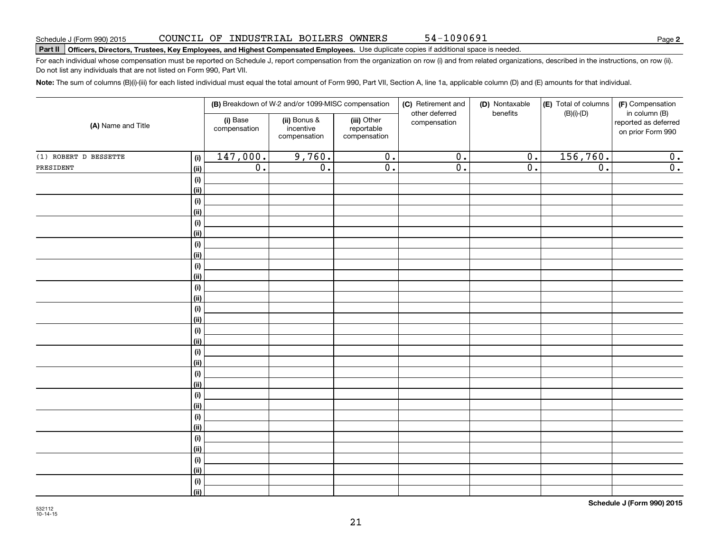**2**

# **Part II Officers, Directors, Trustees, Key Employees, and Highest Compensated Employees.**  Schedule J (Form 990) 2015 Page Use duplicate copies if additional space is needed.

For each individual whose compensation must be reported on Schedule J, report compensation from the organization on row (i) and from related organizations, described in the instructions, on row (ii). Do not list any individuals that are not listed on Form 990, Part VII.

54-1090691

**Note:**  The sum of columns (B)(i)-(iii) for each listed individual must equal the total amount of Form 990, Part VII, Section A, line 1a, applicable column (D) and (E) amounts for that individual.

|                       |                              |                          | (B) Breakdown of W-2 and/or 1099-MISC compensation |                                           | (C) Retirement and             | (D) Nontaxable   | (E) Total of columns | (F) Compensation                                           |  |
|-----------------------|------------------------------|--------------------------|----------------------------------------------------|-------------------------------------------|--------------------------------|------------------|----------------------|------------------------------------------------------------|--|
| (A) Name and Title    |                              | (i) Base<br>compensation | (ii) Bonus &<br>incentive<br>compensation          | (iii) Other<br>reportable<br>compensation | other deferred<br>compensation | benefits         | $(B)(i)$ - $(D)$     | in column (B)<br>reported as deferred<br>on prior Form 990 |  |
| (1) ROBERT D BESSETTE | (i)                          | 147,000.                 | 9,760.                                             | $\overline{0}$ .                          | $\overline{0}$ .               | $\overline{0}$ . | 156,760.             | 0.                                                         |  |
| PRESIDENT             | (ii)                         | $\overline{0}$ .         | $\overline{0}$ .                                   | $\overline{0}$ .                          | $\overline{0}$ .               | $\overline{0}$ . | $\overline{0}$ .     | $\overline{0}$ .                                           |  |
|                       | $(\sf{i})$                   |                          |                                                    |                                           |                                |                  |                      |                                                            |  |
|                       | (ii)                         |                          |                                                    |                                           |                                |                  |                      |                                                            |  |
|                       | $\qquad \qquad \textbf{(i)}$ |                          |                                                    |                                           |                                |                  |                      |                                                            |  |
|                       | (ii)                         |                          |                                                    |                                           |                                |                  |                      |                                                            |  |
|                       | $\qquad \qquad \textbf{(i)}$ |                          |                                                    |                                           |                                |                  |                      |                                                            |  |
|                       | (ii)                         |                          |                                                    |                                           |                                |                  |                      |                                                            |  |
|                       | (i)                          |                          |                                                    |                                           |                                |                  |                      |                                                            |  |
|                       | (ii)                         |                          |                                                    |                                           |                                |                  |                      |                                                            |  |
|                       | (i)                          |                          |                                                    |                                           |                                |                  |                      |                                                            |  |
|                       | (ii)                         |                          |                                                    |                                           |                                |                  |                      |                                                            |  |
|                       | (i)                          |                          |                                                    |                                           |                                |                  |                      |                                                            |  |
|                       | (ii)                         |                          |                                                    |                                           |                                |                  |                      |                                                            |  |
|                       | (i)                          |                          |                                                    |                                           |                                |                  |                      |                                                            |  |
|                       | (ii)                         |                          |                                                    |                                           |                                |                  |                      |                                                            |  |
|                       | $(\sf{i})$<br>(ii)           |                          |                                                    |                                           |                                |                  |                      |                                                            |  |
|                       | $\qquad \qquad \textbf{(i)}$ |                          |                                                    |                                           |                                |                  |                      |                                                            |  |
|                       | (ii)                         |                          |                                                    |                                           |                                |                  |                      |                                                            |  |
|                       | (i)                          |                          |                                                    |                                           |                                |                  |                      |                                                            |  |
|                       | (ii)                         |                          |                                                    |                                           |                                |                  |                      |                                                            |  |
|                       | (i)                          |                          |                                                    |                                           |                                |                  |                      |                                                            |  |
|                       | (ii)                         |                          |                                                    |                                           |                                |                  |                      |                                                            |  |
|                       | (i)                          |                          |                                                    |                                           |                                |                  |                      |                                                            |  |
|                       | (ii)                         |                          |                                                    |                                           |                                |                  |                      |                                                            |  |
|                       | (i)                          |                          |                                                    |                                           |                                |                  |                      |                                                            |  |
|                       | (ii)                         |                          |                                                    |                                           |                                |                  |                      |                                                            |  |
|                       | (i)                          |                          |                                                    |                                           |                                |                  |                      |                                                            |  |
|                       | (ii)                         |                          |                                                    |                                           |                                |                  |                      |                                                            |  |
|                       | $(\sf{i})$                   |                          |                                                    |                                           |                                |                  |                      |                                                            |  |
|                       | (ii)                         |                          |                                                    |                                           |                                |                  |                      |                                                            |  |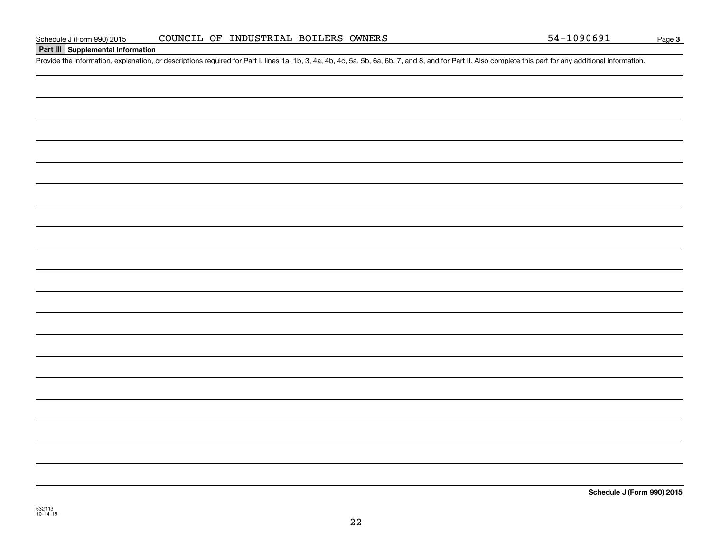#### **Part III Supplemental Information**

Schedule J (Form 990) 2015 COUNCIL OF INDUSTRIAL BOILERS OWNERS 5 54 - 1090691<br>Part III Supplemental Information<br>Provide the information, explanation, or descriptions required for Part I, lines 1a, 1b, 3, 4a, 4b, 4c, 5a, 5

**Schedule J (Form 990) 2015**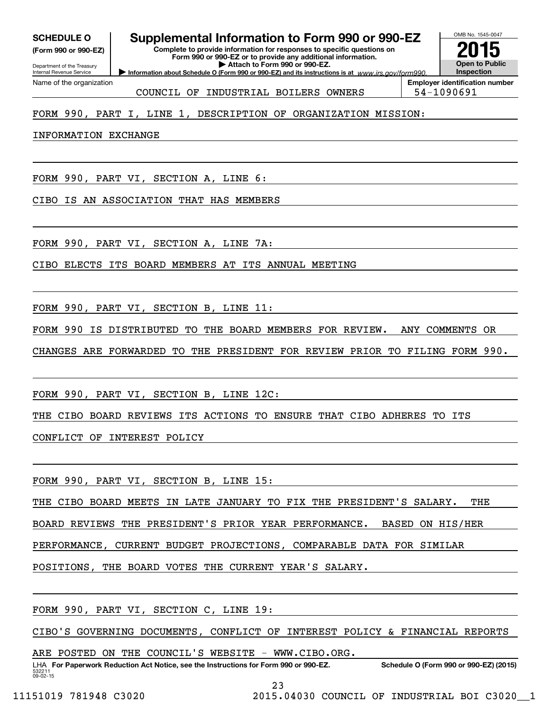**(Form 990 or 990-EZ)**

Department of the Treasury Internal Revenue Service Name of the organization

## **SCHEDULE O Supplemental Information to Form 990 or 990-EZ**

**Complete to provide information for responses to specific questions on Form 990 or 990-EZ or to provide any additional information. | Attach to Form 990 or 990-EZ.**

**Information about Schedule O (Form 990 or 990-EZ) and its instructions is at**  $www.irs.gov/form990.$ 



COUNCIL OF INDUSTRIAL BOILERS OWNERS 54-1090691

**Employer identification number**

### FORM 990, PART I, LINE 1, DESCRIPTION OF ORGANIZATION MISSION:

INFORMATION EXCHANGE

FORM 990, PART VI, SECTION A, LINE 6:

CIBO IS AN ASSOCIATION THAT HAS MEMBERS

FORM 990, PART VI, SECTION A, LINE 7A:

CIBO ELECTS ITS BOARD MEMBERS AT ITS ANNUAL MEETING

FORM 990, PART VI, SECTION B, LINE 11:

FORM 990 IS DISTRIBUTED TO THE BOARD MEMBERS FOR REVIEW. ANY COMMENTS OR

CHANGES ARE FORWARDED TO THE PRESIDENT FOR REVIEW PRIOR TO FILING FORM 990.

FORM 990, PART VI, SECTION B, LINE 12C:

THE CIBO BOARD REVIEWS ITS ACTIONS TO ENSURE THAT CIBO ADHERES TO ITS

CONFLICT OF INTEREST POLICY

FORM 990, PART VI, SECTION B, LINE 15:

THE CIBO BOARD MEETS IN LATE JANUARY TO FIX THE PRESIDENT'S SALARY. THE

BOARD REVIEWS THE PRESIDENT'S PRIOR YEAR PERFORMANCE. BASED ON HIS/HER

PERFORMANCE, CURRENT BUDGET PROJECTIONS, COMPARABLE DATA FOR SIMILAR

POSITIONS, THE BOARD VOTES THE CURRENT YEAR'S SALARY.

FORM 990, PART VI, SECTION C, LINE 19:

CIBO'S GOVERNING DOCUMENTS, CONFLICT OF INTEREST POLICY & FINANCIAL REPORTS

ARE POSTED ON THE COUNCIL'S WEBSITE - WWW.CIBO.ORG.

532211 09-02-15 LHA For Paperwork Reduction Act Notice, see the Instructions for Form 990 or 990-EZ. Schedule O (Form 990 or 990-EZ) (2015)

23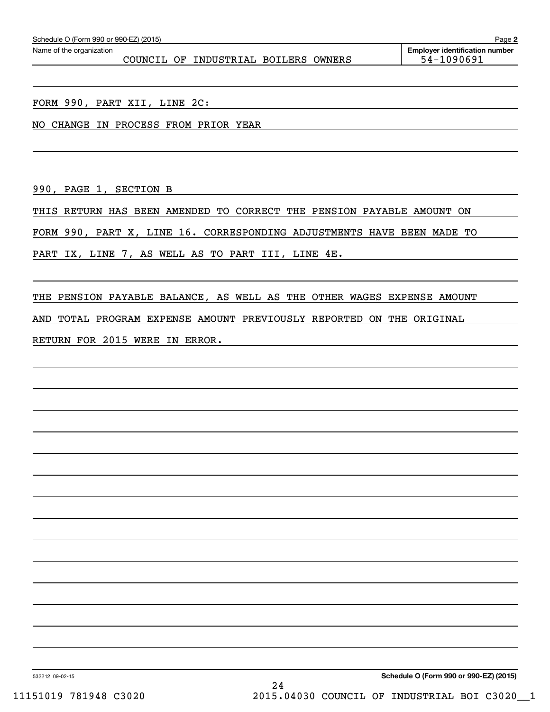| Schedule O (Form 990 or 990-EZ) (2015)<br>Page 2 |  |                           |  |  |                                       |  |  |  |
|--------------------------------------------------|--|---------------------------|--|--|---------------------------------------|--|--|--|
| Name of the organization                         |  |                           |  |  | <b>Emplover identification number</b> |  |  |  |
| COUNCIL OF                                       |  | INDUSTRIAL BOILERS OWNERS |  |  | 54-1090691                            |  |  |  |

FORM 990, PART XII, LINE 2C:

NO CHANGE IN PROCESS FROM PRIOR YEAR

990, PAGE 1, SECTION B

THIS RETURN HAS BEEN AMENDED TO CORRECT THE PENSION PAYABLE AMOUNT ON

FORM 990, PART X, LINE 16. CORRESPONDING ADJUSTMENTS HAVE BEEN MADE TO

PART IX, LINE 7, AS WELL AS TO PART III, LINE 4E.

THE PENSION PAYABLE BALANCE, AS WELL AS THE OTHER WAGES EXPENSE AMOUNT AND TOTAL PROGRAM EXPENSE AMOUNT PREVIOUSLY REPORTED ON THE ORIGINAL RETURN FOR 2015 WERE IN ERROR.